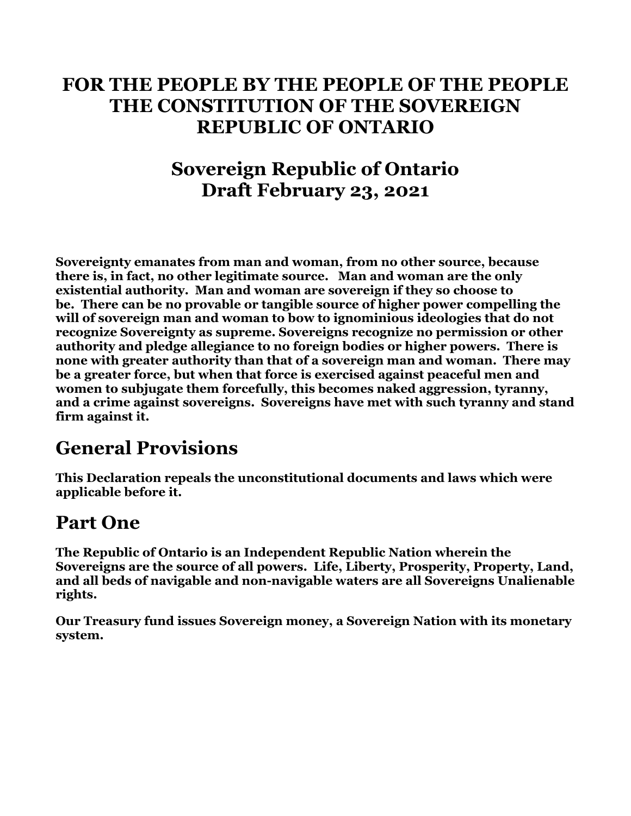#### **FOR THE PEOPLE BY THE PEOPLE OF THE PEOPLE THE CONSTITUTION OF THE SOVEREIGN REPUBLIC OF ONTARIO**

#### **Sovereign Republic of Ontario Draft February 23, 2021**

**Sovereignty emanates from man and woman, from no other source, because there is, in fact, no other legitimate source. Man and woman are the only existential authority. Man and woman are sovereign if they so choose to be. There can be no provable or tangible source of higher power compelling the will of sovereign man and woman to bow to ignominious ideologies that do not recognize Sovereignty as supreme. Sovereigns recognize no permission or other authority and pledge allegiance to no foreign bodies or higher powers. There is none with greater authority than that of a sovereign man and woman. There may be a greater force, but when that force is exercised against peaceful men and women to subjugate them forcefully, this becomes naked aggression, tyranny, and a crime against sovereigns. Sovereigns have met with such tyranny and stand firm against it.**

#### **General Provisions**

**This Declaration repeals the unconstitutional documents and laws which were applicable before it.**

#### **Part One**

**The Republic of Ontario is an Independent Republic Nation wherein the Sovereigns are the source of all powers. Life, Liberty, Prosperity, Property, Land, and all beds of navigable and non-navigable waters are all Sovereigns Unalienable rights.**

**Our Treasury fund issues Sovereign money, a Sovereign Nation with its monetary system.**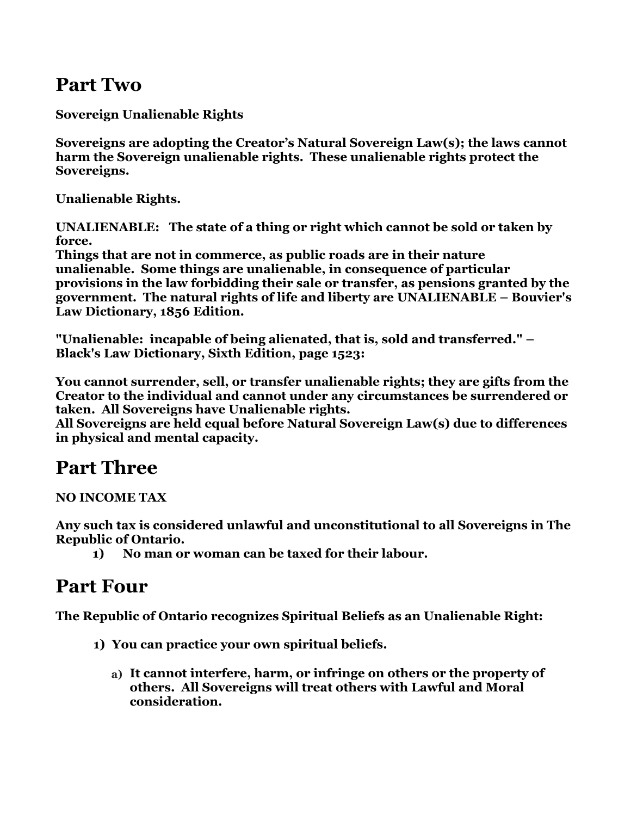#### **Part Two**

**Sovereign Unalienable Rights**

**Sovereigns are adopting the Creator's Natural Sovereign Law(s); the laws cannot harm the Sovereign unalienable rights. These unalienable rights protect the Sovereigns.**

**Unalienable Rights.**

**UNALIENABLE: The state of a thing or right which cannot be sold or taken by force.**

**Things that are not in commerce, as public roads are in their nature unalienable. Some things are unalienable, in consequence of particular provisions in the law forbidding their sale or transfer, as pensions granted by the government. The natural rights of life and liberty are UNALIENABLE – Bouvier's Law Dictionary, 1856 Edition.**

**"Unalienable: incapable of being alienated, that is, sold and transferred." – Black's Law Dictionary, Sixth Edition, page 1523:**

**You cannot surrender, sell, or transfer unalienable rights; they are gifts from the Creator to the individual and cannot under any circumstances be surrendered or taken. All Sovereigns have Unalienable rights.**

**All Sovereigns are held equal before Natural Sovereign Law(s) due to differences in physical and mental capacity.**

#### **Part Three**

**NO INCOME TAX**

**Any such tax is considered unlawful and unconstitutional to all Sovereigns in The Republic of Ontario.**

**1) No man or woman can be taxed for their labour.** 

#### **Part Four**

**The Republic of Ontario recognizes Spiritual Beliefs as an Unalienable Right:**

- **1) You can practice your own spiritual beliefs.**
	- **a) It cannot interfere, harm, or infringe on others or the property of others. All Sovereigns will treat others with Lawful and Moral consideration.**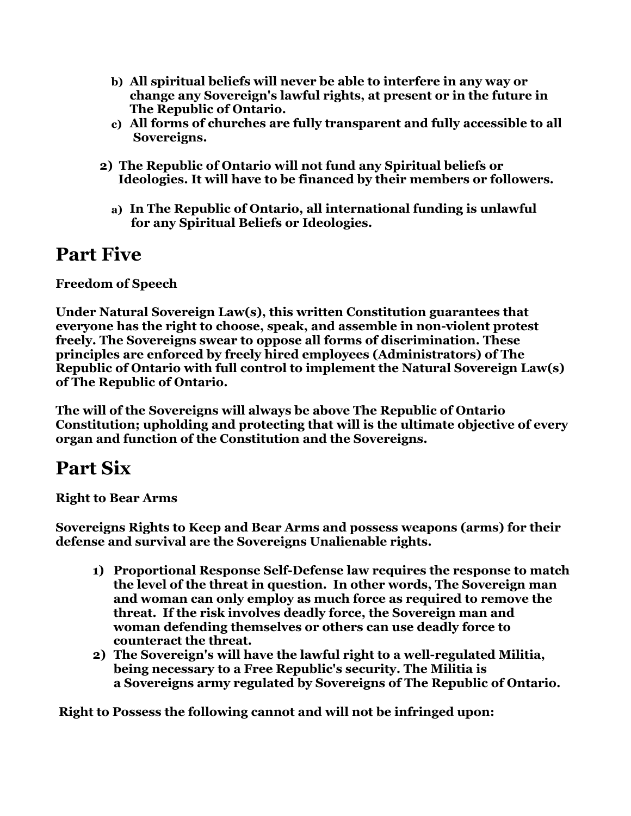- **b) All spiritual beliefs will never be able to interfere in any way or change any Sovereign's lawful rights, at present or in the future in The Republic of Ontario.**
- **c) All forms of churches are fully transparent and fully accessible to all Sovereigns.**
- **2) The Republic of Ontario will not fund any Spiritual beliefs or Ideologies. It will have to be financed by their members or followers.**
	- **a) In The Republic of Ontario, all international funding is unlawful for any Spiritual Beliefs or Ideologies.**

#### **Part Five**

**Freedom of Speech**

**Under Natural Sovereign Law(s), this written Constitution guarantees that everyone has the right to choose, speak, and assemble in non-violent protest freely. The Sovereigns swear to oppose all forms of discrimination. These principles are enforced by freely hired employees (Administrators) of The Republic of Ontario with full control to implement the Natural Sovereign Law(s) of The Republic of Ontario.**

**The will of the Sovereigns will always be above The Republic of Ontario Constitution; upholding and protecting that will is the ultimate objective of every organ and function of the Constitution and the Sovereigns.**

#### **Part Six**

**Right to Bear Arms**

**Sovereigns Rights to Keep and Bear Arms and possess weapons (arms) for their defense and survival are the Sovereigns Unalienable rights.**

- **1) Proportional Response Self-Defense law requires the response to match the level of the threat in question. In other words, The Sovereign man and woman can only employ as much force as required to remove the threat. If the risk involves deadly force, the Sovereign man and woman defending themselves or others can use deadly force to counteract the threat.**
- **2) The Sovereign's will have the lawful right to a well-regulated Militia, being necessary to a Free Republic's security. The Militia is a Sovereigns army regulated by Sovereigns of The Republic of Ontario.**

 **Right to Possess the following cannot and will not be infringed upon:**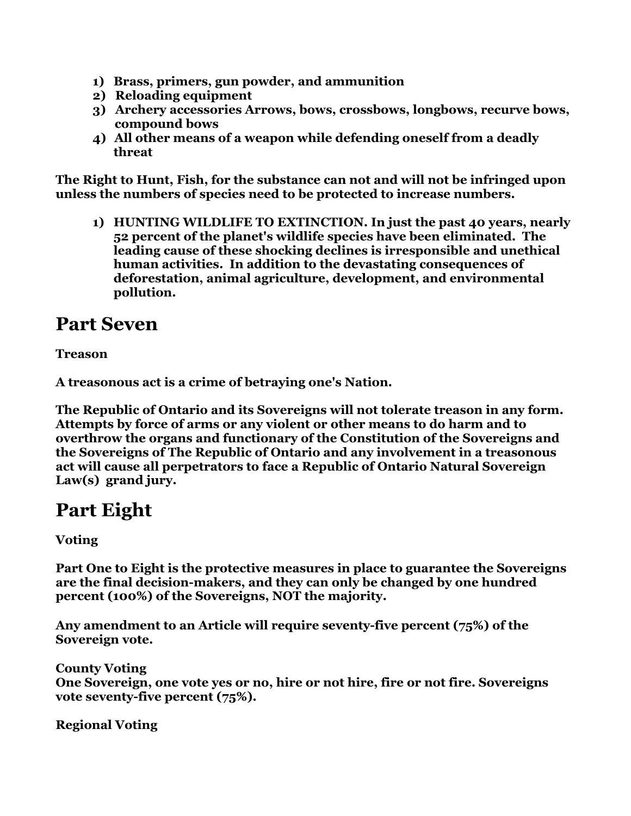- **1) Brass, primers, gun powder, and ammunition**
- **2) Reloading equipment**
- **3) Archery accessories Arrows, bows, crossbows, longbows, recurve bows, compound bows**
- **4) All other means of a weapon while defending oneself from a deadly threat**

**The Right to Hunt, Fish, for the substance can not and will not be infringed upon unless the numbers of species need to be protected to increase numbers.**

**1) HUNTING WILDLIFE TO EXTINCTION. In just the past 40 years, nearly 52 percent of the planet's wildlife species have been eliminated. The leading cause of these shocking declines is irresponsible and unethical human activities. In addition to the devastating consequences of deforestation, animal agriculture, development, and environmental pollution.**

#### **Part Seven**

**Treason** 

**A treasonous act is a crime of betraying one's Nation.**

**The Republic of Ontario and its Sovereigns will not tolerate treason in any form. Attempts by force of arms or any violent or other means to do harm and to overthrow the organs and functionary of the Constitution of the Sovereigns and the Sovereigns of The Republic of Ontario and any involvement in a treasonous act will cause all perpetrators to face a Republic of Ontario Natural Sovereign Law(s) grand jury.**

#### **Part Eight**

**Voting**

**Part One to Eight is the protective measures in place to guarantee the Sovereigns are the final decision-makers, and they can only be changed by one hundred percent (100%) of the Sovereigns, NOT the majority.**

**Any amendment to an Article will require seventy-five percent (75%) of the Sovereign vote.**

**County Voting One Sovereign, one vote yes or no, hire or not hire, fire or not fire. Sovereigns vote seventy-five percent (75%).**

**Regional Voting**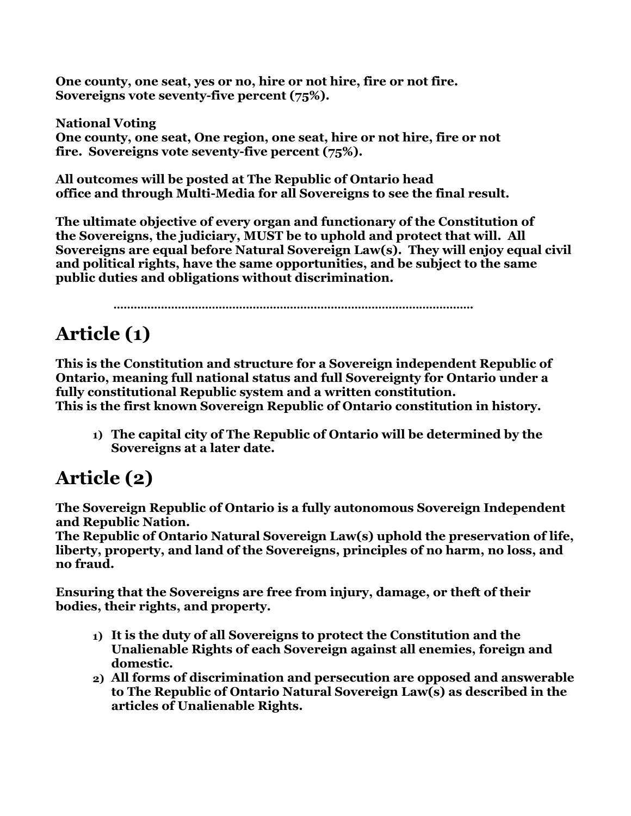**One county, one seat, yes or no, hire or not hire, fire or not fire. Sovereigns vote seventy-five percent (75%).**

**National Voting One county, one seat, One region, one seat, hire or not hire, fire or not fire. Sovereigns vote seventy-five percent (75%).**

**All outcomes will be posted at The Republic of Ontario head office and through Multi-Media for all Sovereigns to see the final result.**

**The ultimate objective of every organ and functionary of the Constitution of the Sovereigns, the judiciary, MUST be to uphold and protect that will. All Sovereigns are equal before Natural Sovereign Law(s). They will enjoy equal civil and political rights, have the same opportunities, and be subject to the same public duties and obligations without discrimination.**

 **…………………………………………………………………………………………….**

## **Article (1)**

**This is the Constitution and structure for a Sovereign independent Republic of Ontario, meaning full national status and full Sovereignty for Ontario under a fully constitutional Republic system and a written constitution. This is the first known Sovereign Republic of Ontario constitution in history.**

**1) The capital city of The Republic of Ontario will be determined by the Sovereigns at a later date.**

## **Article (2)**

**The Sovereign Republic of Ontario is a fully autonomous Sovereign Independent and Republic Nation.**

**The Republic of Ontario Natural Sovereign Law(s) uphold the preservation of life, liberty, property, and land of the Sovereigns, principles of no harm, no loss, and no fraud.**

**Ensuring that the Sovereigns are free from injury, damage, or theft of their bodies, their rights, and property.**

- **1) It is the duty of all Sovereigns to protect the Constitution and the Unalienable Rights of each Sovereign against all enemies, foreign and domestic.**
- **2) All forms of discrimination and persecution are opposed and answerable to The Republic of Ontario Natural Sovereign Law(s) as described in the articles of Unalienable Rights.**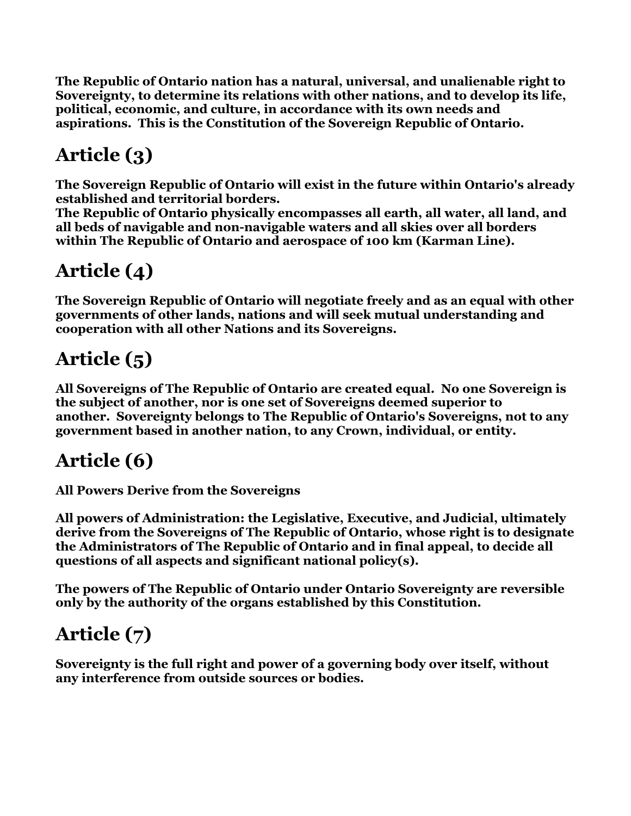**The Republic of Ontario nation has a natural, universal, and unalienable right to Sovereignty, to determine its relations with other nations, and to develop its life, political, economic, and culture, in accordance with its own needs and aspirations. This is the Constitution of the Sovereign Republic of Ontario.**

# **Article (3)**

**The Sovereign Republic of Ontario will exist in the future within Ontario's already established and territorial borders.**

**The Republic of Ontario physically encompasses all earth, all water, all land, and all beds of navigable and non-navigable waters and all skies over all borders within The Republic of Ontario and aerospace of 100 km (Karman Line).**

## **Article (4)**

**The Sovereign Republic of Ontario will negotiate freely and as an equal with other governments of other lands, nations and will seek mutual understanding and cooperation with all other Nations and its Sovereigns.**

## **Article (5)**

**All Sovereigns of The Republic of Ontario are created equal. No one Sovereign is the subject of another, nor is one set of Sovereigns deemed superior to another. Sovereignty belongs to The Republic of Ontario's Sovereigns, not to any government based in another nation, to any Crown, individual, or entity.**

### **Article (6)**

**All Powers Derive from the Sovereigns**

**All powers of Administration: the Legislative, Executive, and Judicial, ultimately derive from the Sovereigns of The Republic of Ontario, whose right is to designate the Administrators of The Republic of Ontario and in final appeal, to decide all questions of all aspects and significant national policy(s).**

**The powers of The Republic of Ontario under Ontario Sovereignty are reversible only by the authority of the organs established by this Constitution.**

# **Article (7)**

**Sovereignty is the full right and power of a governing body over itself, without any interference from outside sources or bodies.**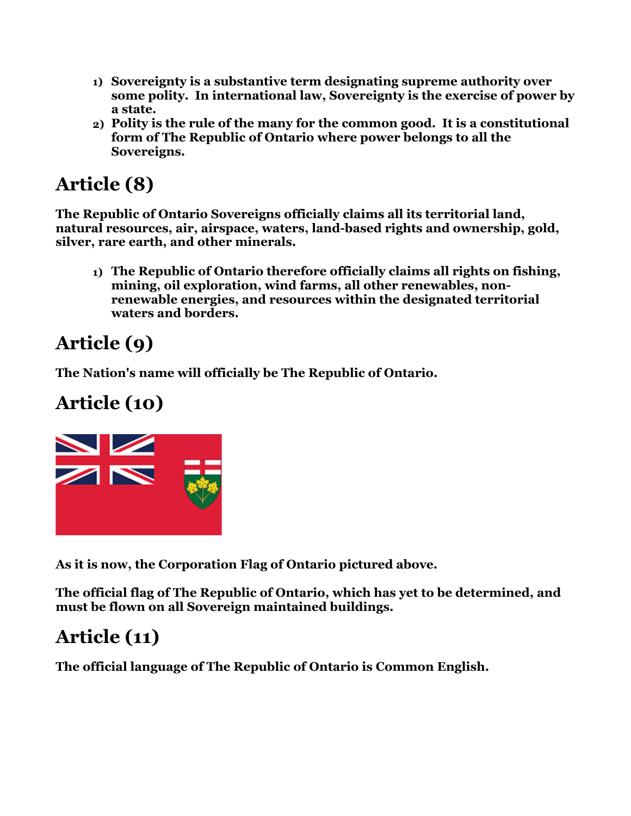- **1) Sovereignty is a substantive term designating supreme authority over some polity. In international law, Sovereignty is the exercise of power by a state.**
- **2) Polity is the rule of the many for the common good. It is a constitutional form of The Republic of Ontario where power belongs to all the Sovereigns.**

## **Article (8)**

**The Republic of Ontario Sovereigns officially claims all its territorial land, natural resources, air, airspace, waters, land-based rights and ownership, gold, silver, rare earth, and other minerals.**

**1) The Republic of Ontario therefore officially claims all rights on fishing, mining, oil exploration, wind farms, all other renewables, nonrenewable energies, and resources within the designated territorial waters and borders.** 

# **Article (9)**

**The Nation's name will officially be The Republic of Ontario.**

# **Article (10)**



**As it is now, the Corporation Flag of Ontario pictured above.**

**The official flag of The Republic of Ontario, which has yet to be determined, and must be flown on all Sovereign maintained buildings.**

## **Article (11)**

**The official language of The Republic of Ontario is Common English.**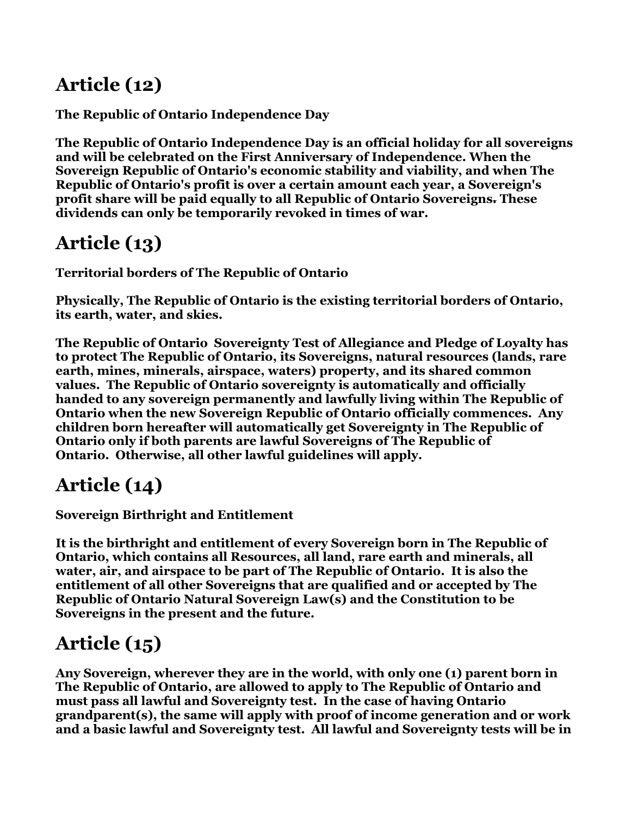## **Article (12)**

**The Republic of Ontario Independence Day**

**The Republic of Ontario Independence Day is an official holiday for all sovereigns and will be celebrated on the First Anniversary of Independence. When the Sovereign Republic of Ontario's economic stability and viability, and when The Republic of Ontario's profit is over a certain amount each year, a Sovereign's profit share will be paid equally to all Republic of Ontario Sovereigns. These dividends can only be temporarily revoked in times of war.**

## **Article (13)**

**Territorial borders of The Republic of Ontario**

**Physically, The Republic of Ontario is the existing territorial borders of Ontario, its earth, water, and skies.** 

**The Republic of Ontario Sovereignty Test of Allegiance and Pledge of Loyalty has to protect The Republic of Ontario, its Sovereigns, natural resources (lands, rare earth, mines, minerals, airspace, waters) property, and its shared common values. The Republic of Ontario sovereignty is automatically and officially handed to any sovereign permanently and lawfully living within The Republic of Ontario when the new Sovereign Republic of Ontario officially commences. Any children born hereafter will automatically get Sovereignty in The Republic of Ontario only if both parents are lawful Sovereigns of The Republic of Ontario. Otherwise, all other lawful guidelines will apply.**

### **Article (14)**

**Sovereign Birthright and Entitlement** 

**It is the birthright and entitlement of every Sovereign born in The Republic of Ontario, which contains all Resources, all land, rare earth and minerals, all water, air, and airspace to be part of The Republic of Ontario. It is also the entitlement of all other Sovereigns that are qualified and or accepted by The Republic of Ontario Natural Sovereign Law(s) and the Constitution to be Sovereigns in the present and the future.**

## **Article (15)**

**Any Sovereign, wherever they are in the world, with only one (1) parent born in The Republic of Ontario, are allowed to apply to The Republic of Ontario and must pass all lawful and Sovereignty test. In the case of having Ontario grandparent(s), the same will apply with proof of income generation and or work and a basic lawful and Sovereignty test. All lawful and Sovereignty tests will be in**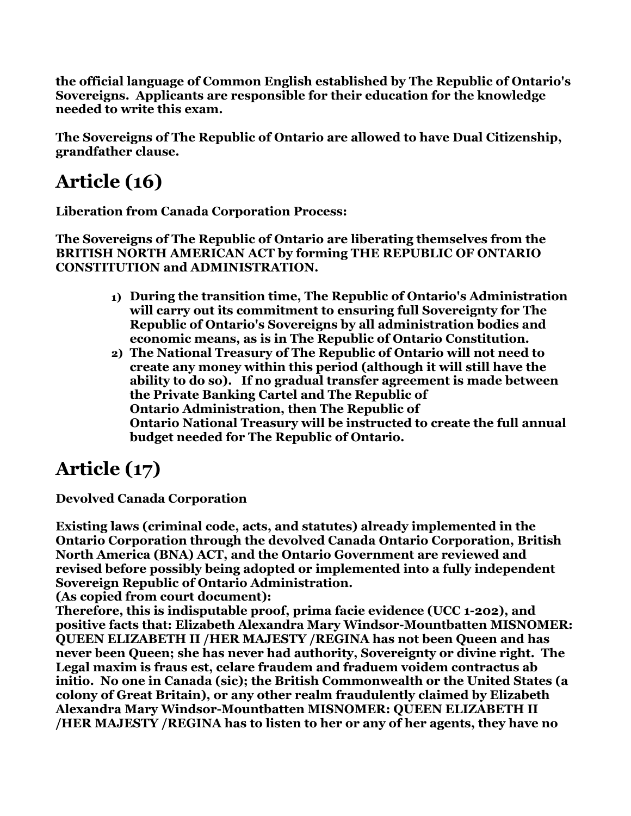**the official language of Common English established by The Republic of Ontario's Sovereigns. Applicants are responsible for their education for the knowledge needed to write this exam.**

**The Sovereigns of The Republic of Ontario are allowed to have Dual Citizenship, grandfather clause.**

# **Article (16)**

**Liberation from Canada Corporation Process:**

**The Sovereigns of The Republic of Ontario are liberating themselves from the BRITISH NORTH AMERICAN ACT by forming THE REPUBLIC OF ONTARIO CONSTITUTION and ADMINISTRATION.**

- **1) During the transition time, The Republic of Ontario's Administration will carry out its commitment to ensuring full Sovereignty for The Republic of Ontario's Sovereigns by all administration bodies and economic means, as is in The Republic of Ontario Constitution.**
- **2) The National Treasury of The Republic of Ontario will not need to create any money within this period (although it will still have the ability to do so). If no gradual transfer agreement is made between the Private Banking Cartel and The Republic of Ontario Administration, then The Republic of Ontario National Treasury will be instructed to create the full annual budget needed for The Republic of Ontario.**

# **Article (17)**

**Devolved Canada Corporation**

**Existing laws (criminal code, acts, and statutes) already implemented in the Ontario Corporation through the devolved Canada Ontario Corporation, British North America (BNA) ACT, and the Ontario Government are reviewed and revised before possibly being adopted or implemented into a fully independent Sovereign Republic of Ontario Administration.**

**(As copied from court document):**

**Therefore, this is indisputable proof, prima facie evidence (UCC 1-202), and positive facts that: Elizabeth Alexandra Mary Windsor-Mountbatten MISNOMER: QUEEN ELIZABETH II /HER MAJESTY /REGINA has not been Queen and has never been Queen; she has never had authority, Sovereignty or divine right. The Legal maxim is fraus est, celare fraudem and fraduem voidem contractus ab initio. No one in Canada (sic); the British Commonwealth or the United States (a colony of Great Britain), or any other realm fraudulently claimed by Elizabeth Alexandra Mary Windsor-Mountbatten MISNOMER: QUEEN ELIZABETH II /HER MAJESTY /REGINA has to listen to her or any of her agents, they have no**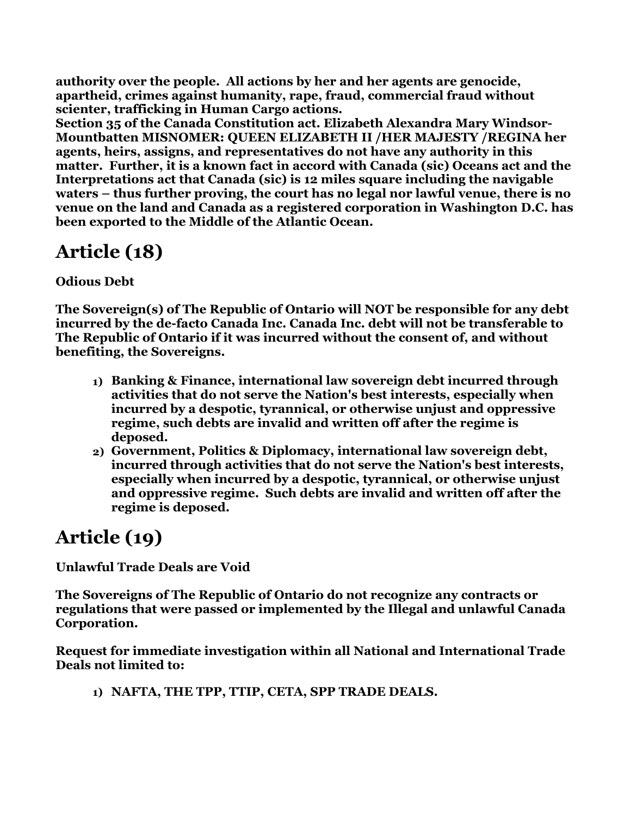**authority over the people. All actions by her and her agents are genocide, apartheid, crimes against humanity, rape, fraud, commercial fraud without scienter, trafficking in Human Cargo actions.**

**Section 35 of the Canada Constitution act. Elizabeth Alexandra Mary Windsor-Mountbatten MISNOMER: QUEEN ELIZABETH II /HER MAJESTY /REGINA her agents, heirs, assigns, and representatives do not have any authority in this matter. Further, it is a known fact in accord with Canada (sic) Oceans act and the Interpretations act that Canada (sic) is 12 miles square including the navigable waters – thus further proving, the court has no legal nor lawful venue, there is no venue on the land and Canada as a registered corporation in Washington D.C. has been exported to the Middle of the Atlantic Ocean.**

## **Article (18)**

#### **Odious Debt**

**The Sovereign(s) of The Republic of Ontario will NOT be responsible for any debt incurred by the de-facto Canada Inc. Canada Inc. debt will not be transferable to The Republic of Ontario if it was incurred without the consent of, and without benefiting, the Sovereigns.**

- **1) Banking & Finance, international law sovereign debt incurred through activities that do not serve the Nation's best interests, especially when incurred by a despotic, tyrannical, or otherwise unjust and oppressive regime, such debts are invalid and written off after the regime is deposed.**
- **2) Government, Politics & Diplomacy, international law sovereign debt, incurred through activities that do not serve the Nation's best interests, especially when incurred by a despotic, tyrannical, or otherwise unjust and oppressive regime. Such debts are invalid and written off after the regime is deposed.**

### **Article (19)**

**Unlawful Trade Deals are Void** 

**The Sovereigns of The Republic of Ontario do not recognize any contracts or regulations that were passed or implemented by the Illegal and unlawful Canada Corporation.**

**Request for immediate investigation within all National and International Trade Deals not limited to:**

**1) NAFTA, THE TPP, TTIP, CETA, SPP TRADE DEALS.**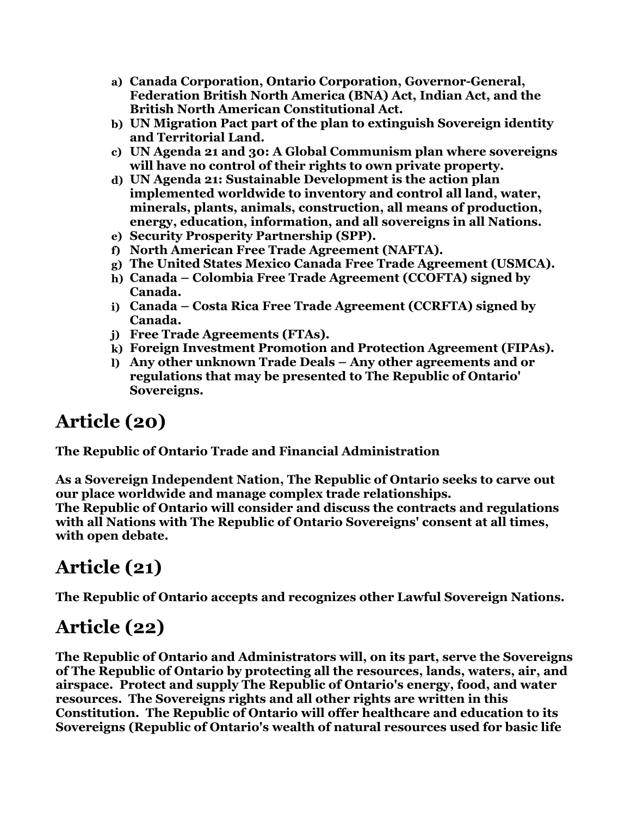- **a) Canada Corporation, Ontario Corporation, Governor-General, Federation British North America (BNA) Act, Indian Act, and the British North American Constitutional Act.**
- **b) UN Migration Pact part of the plan to extinguish Sovereign identity and Territorial Land.**
- **c) UN Agenda 21 and 30: A Global Communism plan where sovereigns will have no control of their rights to own private property.**
- **d) UN Agenda 21: Sustainable Development is the action plan implemented worldwide to inventory and control all land, water, minerals, plants, animals, construction, all means of production, energy, education, information, and all sovereigns in all Nations.**
- **e) Security Prosperity Partnership (SPP).**
- **f) North American Free Trade Agreement (NAFTA).**
- **g) The United States Mexico Canada Free Trade Agreement (USMCA).**
- **h) Canada Colombia Free Trade Agreement (CCOFTA) signed by Canada.**
- **i) Canada Costa Rica Free Trade Agreement (CCRFTA) signed by Canada.**
- **j) Free Trade Agreements (FTAs).**
- **k) Foreign Investment Promotion and Protection Agreement (FIPAs).**
- **l) Any other unknown Trade Deals Any other agreements and or regulations that may be presented to The Republic of Ontario' Sovereigns.**

#### **Article (20)**

**The Republic of Ontario Trade and Financial Administration** 

**As a Sovereign Independent Nation, The Republic of Ontario seeks to carve out our place worldwide and manage complex trade relationships. The Republic of Ontario will consider and discuss the contracts and regulations with all Nations with The Republic of Ontario Sovereigns' consent at all times, with open debate.**

### **Article (21)**

**The Republic of Ontario accepts and recognizes other Lawful Sovereign Nations.**

#### **Article (22)**

**The Republic of Ontario and Administrators will, on its part, serve the Sovereigns of The Republic of Ontario by protecting all the resources, lands, waters, air, and airspace. Protect and supply The Republic of Ontario's energy, food, and water resources. The Sovereigns rights and all other rights are written in this Constitution. The Republic of Ontario will offer healthcare and education to its Sovereigns (Republic of Ontario's wealth of natural resources used for basic life**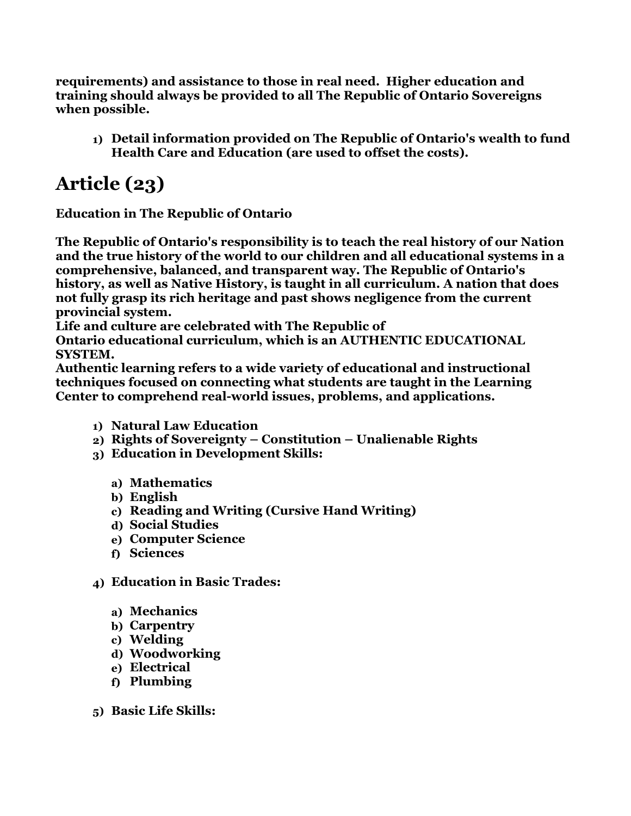**requirements) and assistance to those in real need. Higher education and training should always be provided to all The Republic of Ontario Sovereigns when possible.**

**1) Detail information provided on The Republic of Ontario's wealth to fund Health Care and Education (are used to offset the costs).**

## **Article (23)**

**Education in The Republic of Ontario**

**The Republic of Ontario's responsibility is to teach the real history of our Nation and the true history of the world to our children and all educational systems in a comprehensive, balanced, and transparent way. The Republic of Ontario's history, as well as Native History, is taught in all curriculum. A nation that does not fully grasp its rich heritage and past shows negligence from the current provincial system.**

**Life and culture are celebrated with The Republic of** 

**Ontario educational curriculum, which is an AUTHENTIC EDUCATIONAL SYSTEM.**

**Authentic learning refers to a wide variety of educational and instructional techniques focused on connecting what students are taught in the Learning Center to comprehend real-world issues, problems, and applications.**

- **1) Natural Law Education**
- **2) Rights of Sovereignty Constitution Unalienable Rights**
- **3) Education in Development Skills:**
	- **a) Mathematics**
	- **b) English**
	- **c) Reading and Writing (Cursive Hand Writing)**
	- **d) Social Studies**
	- **e) Computer Science**
	- **f) Sciences**
- **4) Education in Basic Trades:**
	- **a) Mechanics**
	- **b) Carpentry**
	- **c) Welding**
	- **d) Woodworking**
	- **e) Electrical**
	- **f) Plumbing**
- **5) Basic Life Skills:**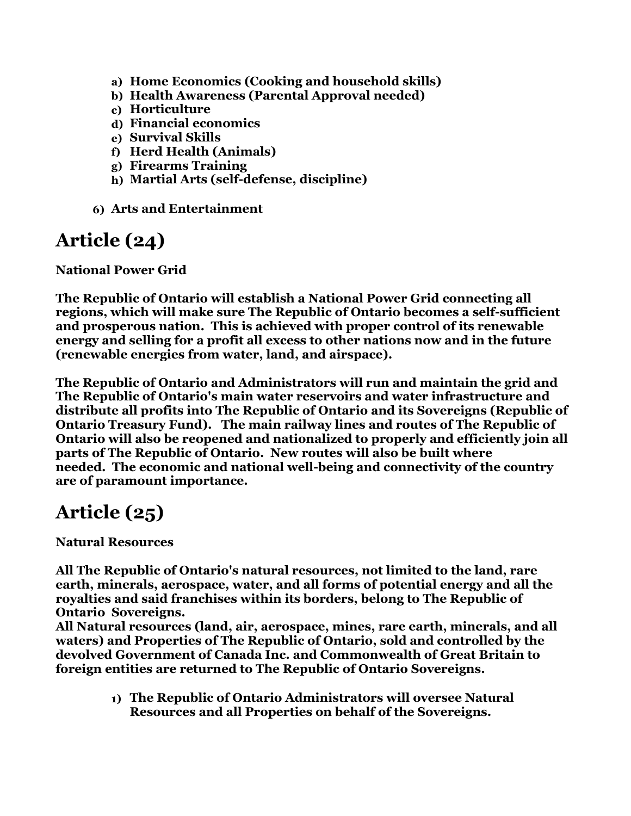- **a) Home Economics (Cooking and household skills)**
- **b) Health Awareness (Parental Approval needed)**
- **c) Horticulture**
- **d) Financial economics**
- **e) Survival Skills**
- **f) Herd Health (Animals)**
- **g) Firearms Training**
- **h) Martial Arts (self-defense, discipline)**
- **6) Arts and Entertainment**

#### **Article (24)**

**National Power Grid**

**The Republic of Ontario will establish a National Power Grid connecting all regions, which will make sure The Republic of Ontario becomes a self-sufficient and prosperous nation. This is achieved with proper control of its renewable energy and selling for a profit all excess to other nations now and in the future (renewable energies from water, land, and airspace).** 

**The Republic of Ontario and Administrators will run and maintain the grid and The Republic of Ontario's main water reservoirs and water infrastructure and distribute all profits into The Republic of Ontario and its Sovereigns (Republic of Ontario Treasury Fund). The main railway lines and routes of The Republic of Ontario will also be reopened and nationalized to properly and efficiently join all parts of The Republic of Ontario. New routes will also be built where needed. The economic and national well-being and connectivity of the country are of paramount importance.**

#### **Article (25)**

**Natural Resources**

**All The Republic of Ontario's natural resources, not limited to the land, rare earth, minerals, aerospace, water, and all forms of potential energy and all the royalties and said franchises within its borders, belong to The Republic of Ontario Sovereigns.**

**All Natural resources (land, air, aerospace, mines, rare earth, minerals, and all waters) and Properties of The Republic of Ontario, sold and controlled by the devolved Government of Canada Inc. and Commonwealth of Great Britain to foreign entities are returned to The Republic of Ontario Sovereigns.**

> **1) The Republic of Ontario Administrators will oversee Natural Resources and all Properties on behalf of the Sovereigns.**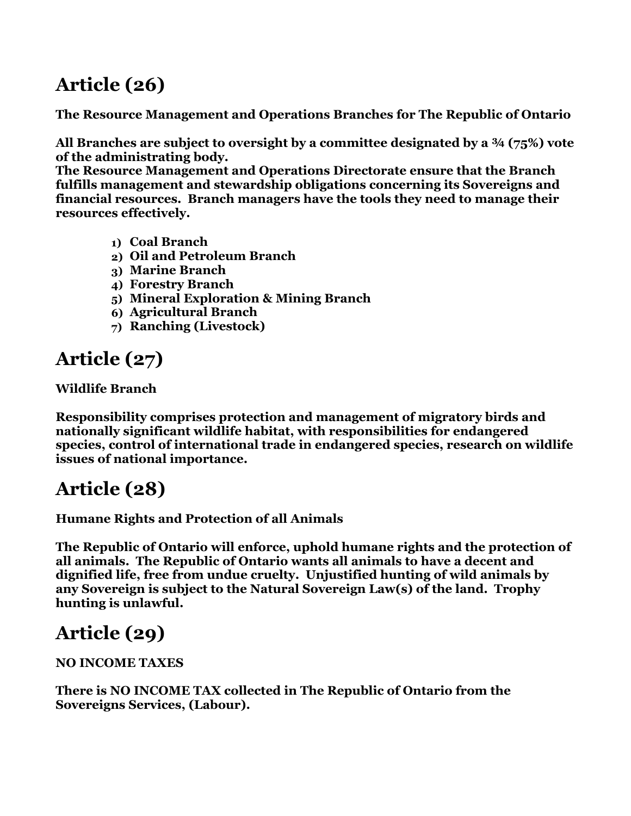## **Article (26)**

**The Resource Management and Operations Branches for The Republic of Ontario**

**All Branches are subject to oversight by a committee designated by a ¾ (75%) vote of the administrating body.**

**The Resource Management and Operations Directorate ensure that the Branch fulfills management and stewardship obligations concerning its Sovereigns and financial resources. Branch managers have the tools they need to manage their resources effectively.**

- **1) Coal Branch**
- **2) Oil and Petroleum Branch**
- **3) Marine Branch**
- **4) Forestry Branch**
- **5) Mineral Exploration & Mining Branch**
- **6) Agricultural Branch**
- **7) Ranching (Livestock)**

## **Article (27)**

**Wildlife Branch**

**Responsibility comprises protection and management of migratory birds and nationally significant wildlife habitat, with responsibilities for endangered species, control of international trade in endangered species, research on wildlife issues of national importance.**

### **Article (28)**

**Humane Rights and Protection of all Animals**

**The Republic of Ontario will enforce, uphold humane rights and the protection of all animals. The Republic of Ontario wants all animals to have a decent and dignified life, free from undue cruelty. Unjustified hunting of wild animals by any Sovereign is subject to the Natural Sovereign Law(s) of the land. Trophy hunting is unlawful.**

## **Article (29)**

**NO INCOME TAXES** 

**There is NO INCOME TAX collected in The Republic of Ontario from the Sovereigns Services, (Labour).**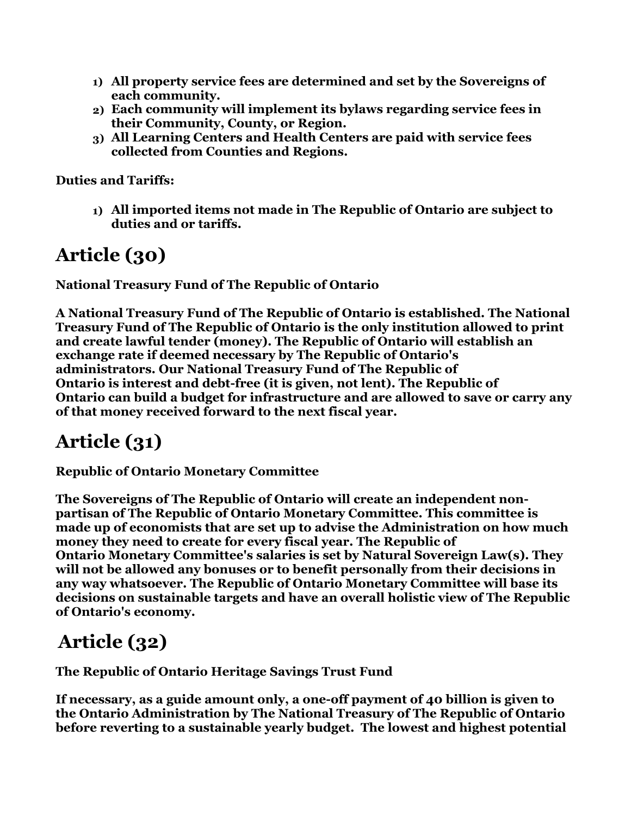- **1) All property service fees are determined and set by the Sovereigns of each community.**
- **2) Each community will implement its bylaws regarding service fees in their Community, County, or Region.**
- **3) All Learning Centers and Health Centers are paid with service fees collected from Counties and Regions.**

**Duties and Tariffs:**

**1) All imported items not made in The Republic of Ontario are subject to duties and or tariffs.**

## **Article (30)**

**National Treasury Fund of The Republic of Ontario**

**A National Treasury Fund of The Republic of Ontario is established. The National Treasury Fund of The Republic of Ontario is the only institution allowed to print and create lawful tender (money). The Republic of Ontario will establish an exchange rate if deemed necessary by The Republic of Ontario's administrators. Our National Treasury Fund of The Republic of Ontario is interest and debt-free (it is given, not lent). The Republic of Ontario can build a budget for infrastructure and are allowed to save or carry any of that money received forward to the next fiscal year.**

## **Article (31)**

**Republic of Ontario Monetary Committee**

**The Sovereigns of The Republic of Ontario will create an independent nonpartisan of The Republic of Ontario Monetary Committee. This committee is made up of economists that are set up to advise the Administration on how much money they need to create for every fiscal year. The Republic of Ontario Monetary Committee's salaries is set by Natural Sovereign Law(s). They will not be allowed any bonuses or to benefit personally from their decisions in any way whatsoever. The Republic of Ontario Monetary Committee will base its decisions on sustainable targets and have an overall holistic view of The Republic of Ontario's economy.**

### **Article (32)**

**The Republic of Ontario Heritage Savings Trust Fund**

**If necessary, as a guide amount only, a one-off payment of 40 billion is given to the Ontario Administration by The National Treasury of The Republic of Ontario before reverting to a sustainable yearly budget. The lowest and highest potential**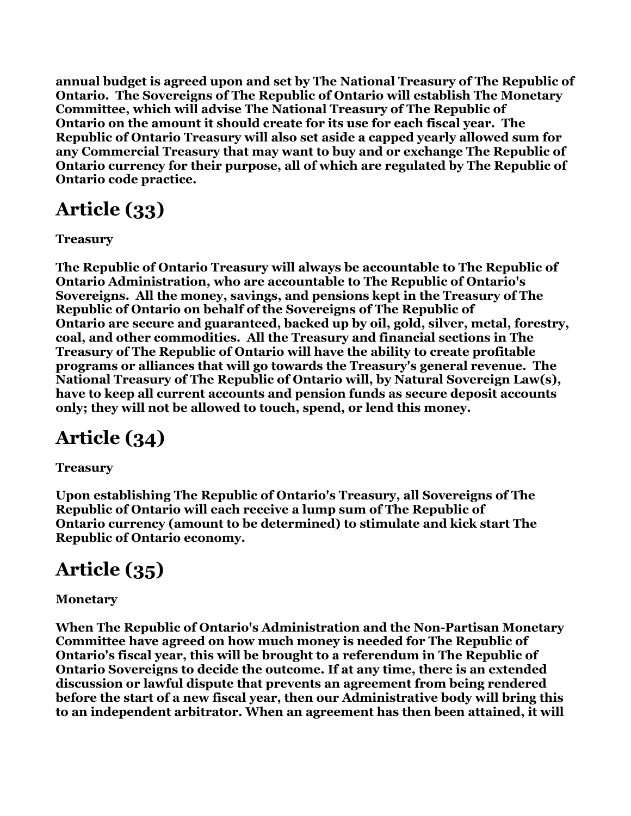**annual budget is agreed upon and set by The National Treasury of The Republic of Ontario. The Sovereigns of The Republic of Ontario will establish The Monetary Committee, which will advise The National Treasury of The Republic of Ontario on the amount it should create for its use for each fiscal year. The Republic of Ontario Treasury will also set aside a capped yearly allowed sum for any Commercial Treasury that may want to buy and or exchange The Republic of Ontario currency for their purpose, all of which are regulated by The Republic of Ontario code practice.**

# **Article (33)**

**Treasury**

**The Republic of Ontario Treasury will always be accountable to The Republic of Ontario Administration, who are accountable to The Republic of Ontario's Sovereigns. All the money, savings, and pensions kept in the Treasury of The Republic of Ontario on behalf of the Sovereigns of The Republic of Ontario are secure and guaranteed, backed up by oil, gold, silver, metal, forestry, coal, and other commodities. All the Treasury and financial sections in The Treasury of The Republic of Ontario will have the ability to create profitable programs or alliances that will go towards the Treasury's general revenue. The National Treasury of The Republic of Ontario will, by Natural Sovereign Law(s), have to keep all current accounts and pension funds as secure deposit accounts only; they will not be allowed to touch, spend, or lend this money.**

## **Article (34)**

**Treasury**

**Upon establishing The Republic of Ontario's Treasury, all Sovereigns of The Republic of Ontario will each receive a lump sum of The Republic of Ontario currency (amount to be determined) to stimulate and kick start The Republic of Ontario economy.**

## **Article (35)**

#### **Monetary**

**When The Republic of Ontario's Administration and the Non-Partisan Monetary Committee have agreed on how much money is needed for The Republic of Ontario's fiscal year, this will be brought to a referendum in The Republic of Ontario Sovereigns to decide the outcome. If at any time, there is an extended discussion or lawful dispute that prevents an agreement from being rendered before the start of a new fiscal year, then our Administrative body will bring this to an independent arbitrator. When an agreement has then been attained, it will**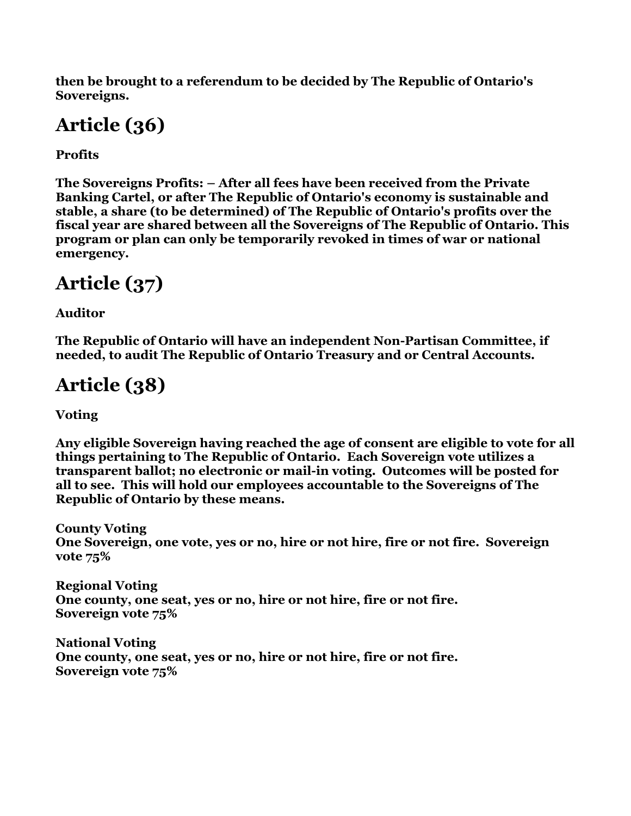**then be brought to a referendum to be decided by The Republic of Ontario's Sovereigns.**

# **Article (36)**

**Profits**

**The Sovereigns Profits: – After all fees have been received from the Private Banking Cartel, or after The Republic of Ontario's economy is sustainable and stable, a share (to be determined) of The Republic of Ontario's profits over the fiscal year are shared between all the Sovereigns of The Republic of Ontario. This program or plan can only be temporarily revoked in times of war or national emergency.**

# **Article (37)**

**Auditor**

**The Republic of Ontario will have an independent Non-Partisan Committee, if needed, to audit The Republic of Ontario Treasury and or Central Accounts.**

# **Article (38)**

**Voting**

**Any eligible Sovereign having reached the age of consent are eligible to vote for all things pertaining to The Republic of Ontario. Each Sovereign vote utilizes a transparent ballot; no electronic or mail-in voting. Outcomes will be posted for all to see. This will hold our employees accountable to the Sovereigns of The Republic of Ontario by these means.**

**County Voting One Sovereign, one vote, yes or no, hire or not hire, fire or not fire. Sovereign vote 75%**

**Regional Voting One county, one seat, yes or no, hire or not hire, fire or not fire. Sovereign vote 75%**

**National Voting One county, one seat, yes or no, hire or not hire, fire or not fire. Sovereign vote 75%**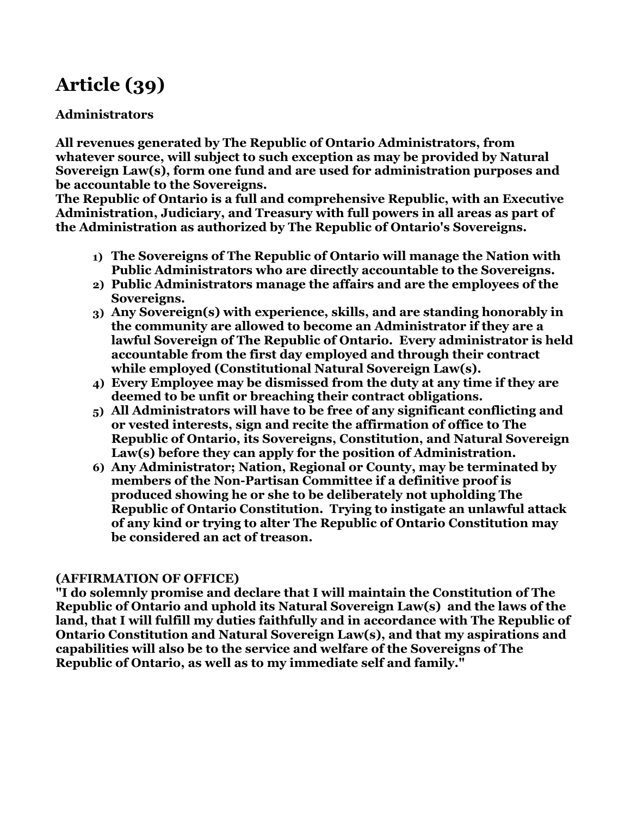## **Article (39)**

#### **Administrators**

**All revenues generated by The Republic of Ontario Administrators, from whatever source, will subject to such exception as may be provided by Natural Sovereign Law(s), form one fund and are used for administration purposes and be accountable to the Sovereigns.**

**The Republic of Ontario is a full and comprehensive Republic, with an Executive Administration, Judiciary, and Treasury with full powers in all areas as part of the Administration as authorized by The Republic of Ontario's Sovereigns.**

- **1) The Sovereigns of The Republic of Ontario will manage the Nation with Public Administrators who are directly accountable to the Sovereigns.**
- **2) Public Administrators manage the affairs and are the employees of the Sovereigns.**
- **3) Any Sovereign(s) with experience, skills, and are standing honorably in the community are allowed to become an Administrator if they are a lawful Sovereign of The Republic of Ontario. Every administrator is held accountable from the first day employed and through their contract while employed (Constitutional Natural Sovereign Law(s).**
- **4) Every Employee may be dismissed from the duty at any time if they are deemed to be unfit or breaching their contract obligations.**
- **5) All Administrators will have to be free of any significant conflicting and or vested interests, sign and recite the affirmation of office to The Republic of Ontario, its Sovereigns, Constitution, and Natural Sovereign Law(s) before they can apply for the position of Administration.**
- **6) Any Administrator; Nation, Regional or County, may be terminated by members of the Non-Partisan Committee if a definitive proof is produced showing he or she to be deliberately not upholding The Republic of Ontario Constitution. Trying to instigate an unlawful attack of any kind or trying to alter The Republic of Ontario Constitution may be considered an act of treason.**

#### **(AFFIRMATION OF OFFICE)**

**"I do solemnly promise and declare that I will maintain the Constitution of The Republic of Ontario and uphold its Natural Sovereign Law(s) and the laws of the land, that I will fulfill my duties faithfully and in accordance with The Republic of Ontario Constitution and Natural Sovereign Law(s), and that my aspirations and capabilities will also be to the service and welfare of the Sovereigns of The Republic of Ontario, as well as to my immediate self and family."**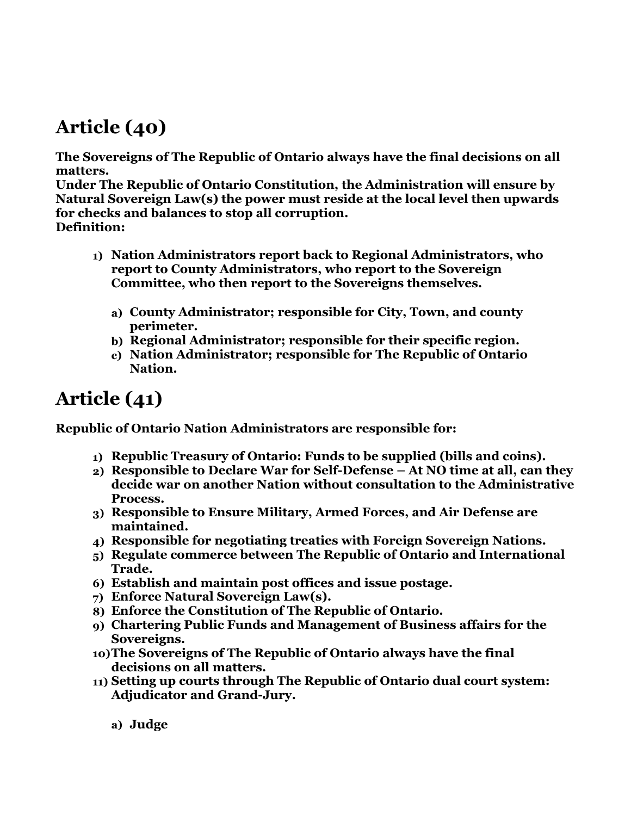## **Article (40)**

**The Sovereigns of The Republic of Ontario always have the final decisions on all matters.**

**Under The Republic of Ontario Constitution, the Administration will ensure by Natural Sovereign Law(s) the power must reside at the local level then upwards for checks and balances to stop all corruption. Definition:**

- **1) Nation Administrators report back to Regional Administrators, who report to County Administrators, who report to the Sovereign Committee, who then report to the Sovereigns themselves.**
	- **a) County Administrator; responsible for City, Town, and county perimeter.**
	- **b) Regional Administrator; responsible for their specific region.**
	- **c) Nation Administrator; responsible for The Republic of Ontario Nation.**

### **Article (41)**

**Republic of Ontario Nation Administrators are responsible for:**

- **1) Republic Treasury of Ontario: Funds to be supplied (bills and coins).**
- **2) Responsible to Declare War for Self-Defense At NO time at all, can they decide war on another Nation without consultation to the Administrative Process.**
- **3) Responsible to Ensure Military, Armed Forces, and Air Defense are maintained.**
- **4) Responsible for negotiating treaties with Foreign Sovereign Nations.**
- **5) Regulate commerce between The Republic of Ontario and International Trade.**
- **6) Establish and maintain post offices and issue postage.**
- **7) Enforce Natural Sovereign Law(s).**
- **8) Enforce the Constitution of The Republic of Ontario.**
- **9) Chartering Public Funds and Management of Business affairs for the Sovereigns.**
- **10)The Sovereigns of The Republic of Ontario always have the final decisions on all matters.**
- **11) Setting up courts through The Republic of Ontario dual court system: Adjudicator and Grand-Jury.**

**a) Judge**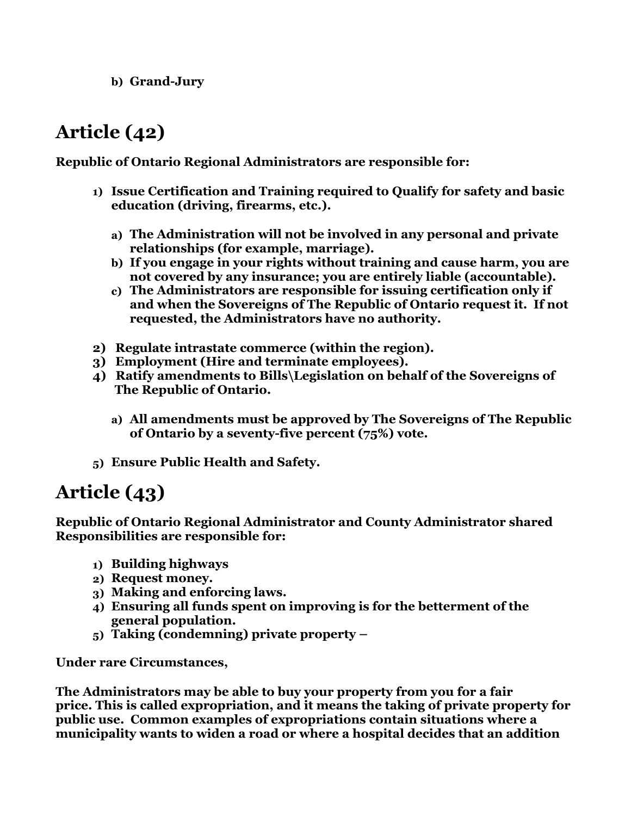**b) Grand-Jury**

## **Article (42)**

**Republic of Ontario Regional Administrators are responsible for:**

- **1) Issue Certification and Training required to Qualify for safety and basic education (driving, firearms, etc.).**
	- **a) The Administration will not be involved in any personal and private relationships (for example, marriage).**
	- **b) If you engage in your rights without training and cause harm, you are not covered by any insurance; you are entirely liable (accountable).**
	- **c) The Administrators are responsible for issuing certification only if and when the Sovereigns of The Republic of Ontario request it. If not requested, the Administrators have no authority.**
- **2) Regulate intrastate commerce (within the region).**
- **3) Employment (Hire and terminate employees).**
- **4) Ratify amendments to Bills\Legislation on behalf of the Sovereigns of The Republic of Ontario.**
	- **a) All amendments must be approved by The Sovereigns of The Republic of Ontario by a seventy-five percent (75%) vote.**
- **5) Ensure Public Health and Safety.**

#### **Article (43)**

**Republic of Ontario Regional Administrator and County Administrator shared Responsibilities are responsible for:** 

- **1) Building highways**
- **2) Request money.**
- **3) Making and enforcing laws.**
- **4) Ensuring all funds spent on improving is for the betterment of the general population.**
- **5) Taking (condemning) private property –**

**Under rare Circumstances,**

**The Administrators may be able to buy your property from you for a fair price. This is called expropriation, and it means the taking of private property for public use. Common examples of expropriations contain situations where a municipality wants to widen a road or where a hospital decides that an addition**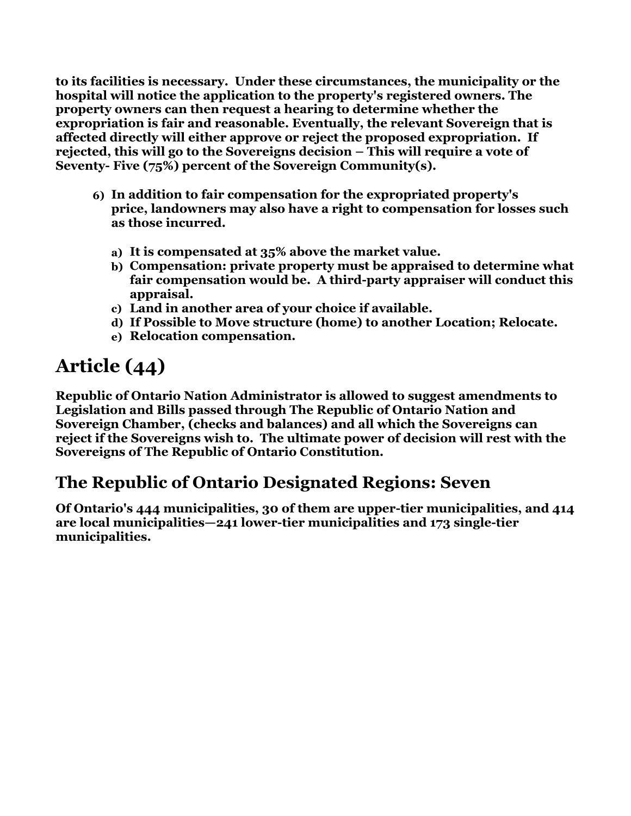**to its facilities is necessary. Under these circumstances, the municipality or the hospital will notice the application to the property's registered owners. The property owners can then request a hearing to determine whether the expropriation is fair and reasonable. Eventually, the relevant Sovereign that is affected directly will either approve or reject the proposed expropriation. If rejected, this will go to the Sovereigns decision – This will require a vote of Seventy- Five (75%) percent of the Sovereign Community(s).**

- **6) In addition to fair compensation for the expropriated property's price, landowners may also have a right to compensation for losses such as those incurred.**
	- **a) It is compensated at 35% above the market value.**
	- **b) Compensation: private property must be appraised to determine what fair compensation would be. A third-party appraiser will conduct this appraisal.**
	- **c) Land in another area of your choice if available.**
	- **d) If Possible to Move structure (home) to another Location; Relocate.**
	- **e) Relocation compensation.**

## **Article (44)**

**Republic of Ontario Nation Administrator is allowed to suggest amendments to Legislation and Bills passed through The Republic of Ontario Nation and Sovereign Chamber, (checks and balances) and all which the Sovereigns can reject if the Sovereigns wish to. The ultimate power of decision will rest with the Sovereigns of The Republic of Ontario Constitution.**

#### **The Republic of Ontario Designated Regions: Seven**

**Of Ontario's 444 municipalities, 30 of them are upper-tier municipalities, and 414 are local municipalities—241 lower-tier municipalities and 173 single-tier municipalities.**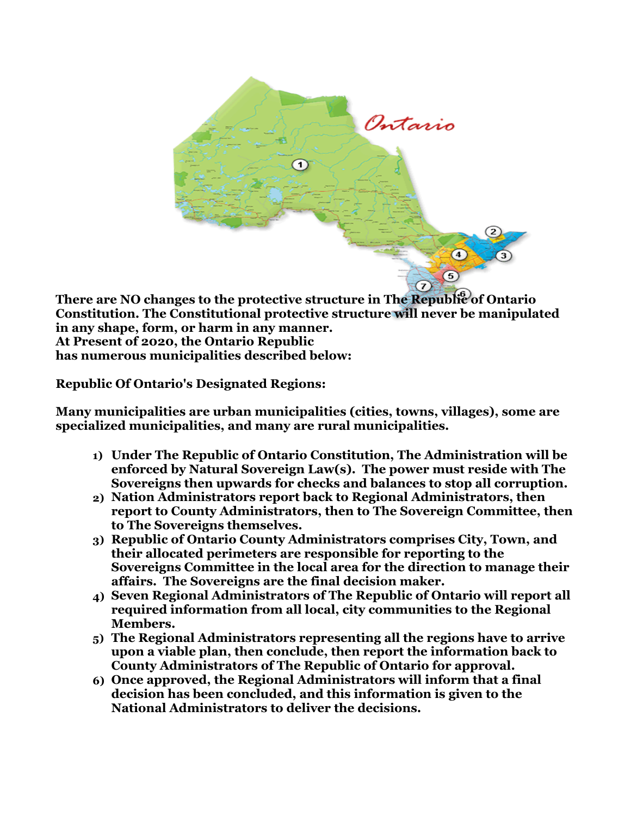

There are NO changes to the protective structure in The Republic of Ontario **Constitution. The Constitutional protective structure will never be manipulated in any shape, form, or harm in any manner. At Present of 2020, the Ontario Republic has numerous municipalities described below:**

**Republic Of Ontario's Designated Regions:**

**Many municipalities are urban municipalities (cities, towns, villages), some are specialized municipalities, and many are rural municipalities.**

- **1) Under The Republic of Ontario Constitution, The Administration will be enforced by Natural Sovereign Law(s). The power must reside with The Sovereigns then upwards for checks and balances to stop all corruption.**
- **2) Nation Administrators report back to Regional Administrators, then report to County Administrators, then to The Sovereign Committee, then to The Sovereigns themselves.**
- **3) Republic of Ontario County Administrators comprises City, Town, and their allocated perimeters are responsible for reporting to the Sovereigns Committee in the local area for the direction to manage their affairs. The Sovereigns are the final decision maker.**
- **4) Seven Regional Administrators of The Republic of Ontario will report all required information from all local, city communities to the Regional Members.**
- **5) The Regional Administrators representing all the regions have to arrive upon a viable plan, then conclude, then report the information back to County Administrators of The Republic of Ontario for approval.**
- **6) Once approved, the Regional Administrators will inform that a final decision has been concluded, and this information is given to the National Administrators to deliver the decisions.**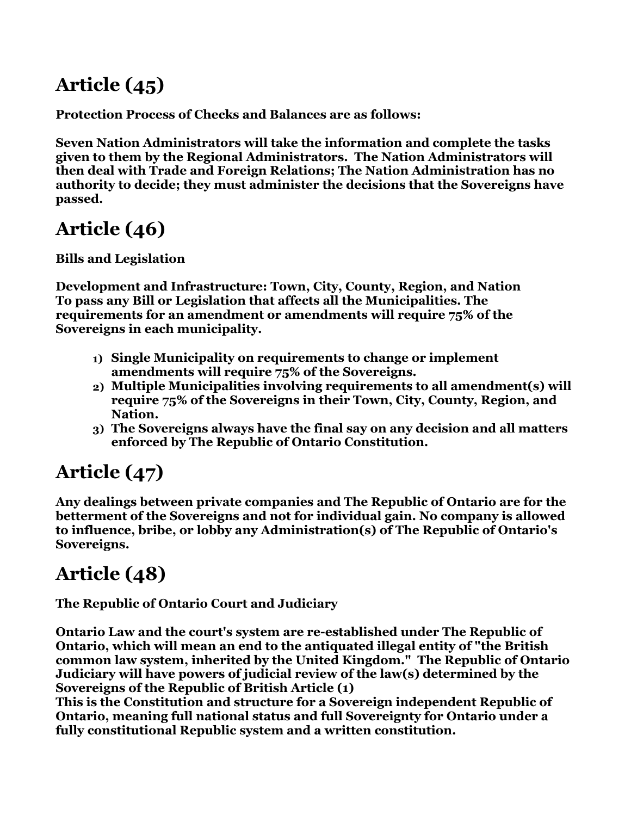# **Article (45)**

**Protection Process of Checks and Balances are as follows:**

**Seven Nation Administrators will take the information and complete the tasks given to them by the Regional Administrators. The Nation Administrators will then deal with Trade and Foreign Relations; The Nation Administration has no authority to decide; they must administer the decisions that the Sovereigns have passed.**

# **Article (46)**

**Bills and Legislation** 

**Development and Infrastructure: Town, City, County, Region, and Nation To pass any Bill or Legislation that affects all the Municipalities. The requirements for an amendment or amendments will require 75% of the Sovereigns in each municipality.**

- **1) Single Municipality on requirements to change or implement amendments will require 75% of the Sovereigns.**
- **2) Multiple Municipalities involving requirements to all amendment(s) will require 75% of the Sovereigns in their Town, City, County, Region, and Nation.**
- **3) The Sovereigns always have the final say on any decision and all matters enforced by The Republic of Ontario Constitution.**

# **Article (47)**

**Any dealings between private companies and The Republic of Ontario are for the betterment of the Sovereigns and not for individual gain. No company is allowed to influence, bribe, or lobby any Administration(s) of The Republic of Ontario's Sovereigns.**

# **Article (48)**

**The Republic of Ontario Court and Judiciary** 

**Ontario Law and the court's system are re-established under The Republic of Ontario, which will mean an end to the antiquated illegal entity of "the British common law system, inherited by the United Kingdom." The Republic of Ontario Judiciary will have powers of judicial review of the law(s) determined by the Sovereigns of the Republic of British Article (1)**

**This is the Constitution and structure for a Sovereign independent Republic of Ontario, meaning full national status and full Sovereignty for Ontario under a fully constitutional Republic system and a written constitution.**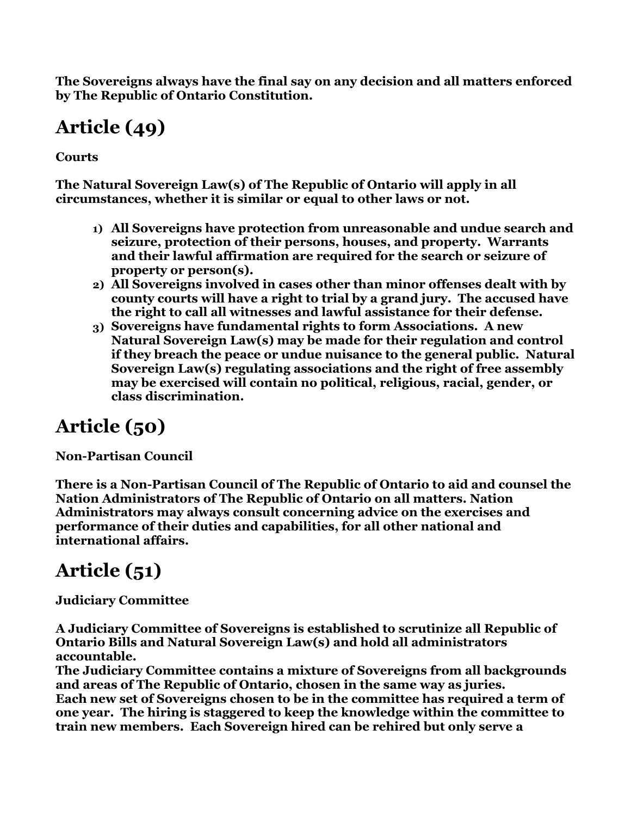**The Sovereigns always have the final say on any decision and all matters enforced by The Republic of Ontario Constitution.**

# **Article (49)**

**Courts**

**The Natural Sovereign Law(s) of The Republic of Ontario will apply in all circumstances, whether it is similar or equal to other laws or not.**

- **1) All Sovereigns have protection from unreasonable and undue search and seizure, protection of their persons, houses, and property. Warrants and their lawful affirmation are required for the search or seizure of property or person(s).**
- **2) All Sovereigns involved in cases other than minor offenses dealt with by county courts will have a right to trial by a grand jury. The accused have the right to call all witnesses and lawful assistance for their defense.**
- **3) Sovereigns have fundamental rights to form Associations. A new Natural Sovereign Law(s) may be made for their regulation and control if they breach the peace or undue nuisance to the general public. Natural Sovereign Law(s) regulating associations and the right of free assembly may be exercised will contain no political, religious, racial, gender, or class discrimination.**

# **Article (50)**

**Non-Partisan Council**

**There is a Non-Partisan Council of The Republic of Ontario to aid and counsel the Nation Administrators of The Republic of Ontario on all matters. Nation Administrators may always consult concerning advice on the exercises and performance of their duties and capabilities, for all other national and international affairs.**

# **Article (51)**

**Judiciary Committee**

**A Judiciary Committee of Sovereigns is established to scrutinize all Republic of Ontario Bills and Natural Sovereign Law(s) and hold all administrators accountable.** 

**The Judiciary Committee contains a mixture of Sovereigns from all backgrounds and areas of The Republic of Ontario, chosen in the same way as juries. Each new set of Sovereigns chosen to be in the committee has required a term of one year. The hiring is staggered to keep the knowledge within the committee to train new members. Each Sovereign hired can be rehired but only serve a**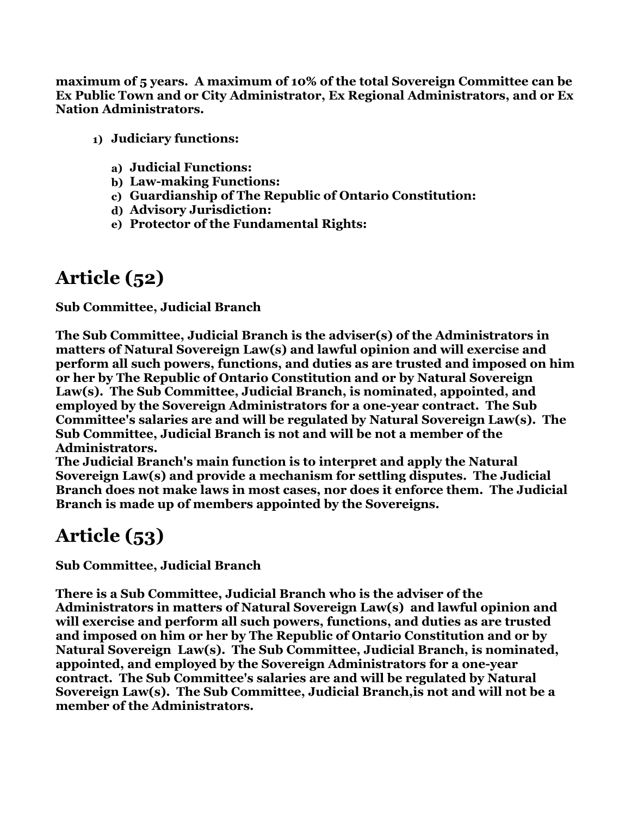**maximum of 5 years. A maximum of 10% of the total Sovereign Committee can be Ex Public Town and or City Administrator, Ex Regional Administrators, and or Ex Nation Administrators.**

- **1) Judiciary functions:**
	- **a) Judicial Functions:**
	- **b) Law-making Functions:**
	- **c) Guardianship of The Republic of Ontario Constitution:**
	- **d) Advisory Jurisdiction:**
	- **e) Protector of the Fundamental Rights:**

## **Article (52)**

**Sub Committee, Judicial Branch**

**The Sub Committee, Judicial Branch is the adviser(s) of the Administrators in matters of Natural Sovereign Law(s) and lawful opinion and will exercise and perform all such powers, functions, and duties as are trusted and imposed on him or her by The Republic of Ontario Constitution and or by Natural Sovereign Law(s). The Sub Committee, Judicial Branch, is nominated, appointed, and employed by the Sovereign Administrators for a one-year contract. The Sub Committee's salaries are and will be regulated by Natural Sovereign Law(s). The Sub Committee, Judicial Branch is not and will be not a member of the Administrators.**

**The Judicial Branch's main function is to interpret and apply the Natural Sovereign Law(s) and provide a mechanism for settling disputes. The Judicial Branch does not make laws in most cases, nor does it enforce them. The Judicial Branch is made up of members appointed by the Sovereigns.**

### **Article (53)**

**Sub Committee, Judicial Branch**

**There is a Sub Committee, Judicial Branch who is the adviser of the Administrators in matters of Natural Sovereign Law(s) and lawful opinion and will exercise and perform all such powers, functions, and duties as are trusted and imposed on him or her by The Republic of Ontario Constitution and or by Natural Sovereign Law(s). The Sub Committee, Judicial Branch, is nominated, appointed, and employed by the Sovereign Administrators for a one-year contract. The Sub Committee's salaries are and will be regulated by Natural Sovereign Law(s). The Sub Committee, Judicial Branch,is not and will not be a member of the Administrators.**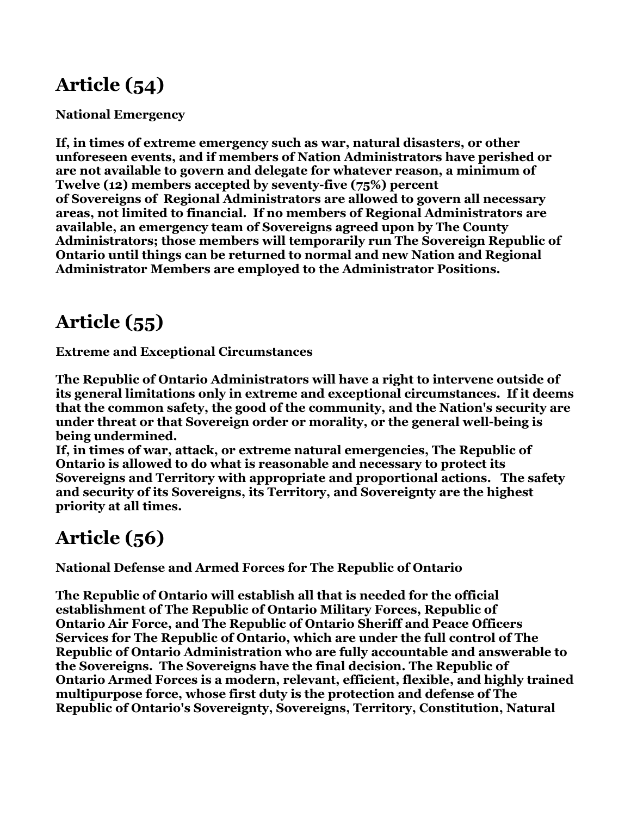## **Article (54)**

**National Emergency** 

**If, in times of extreme emergency such as war, natural disasters, or other unforeseen events, and if members of Nation Administrators have perished or are not available to govern and delegate for whatever reason, a minimum of Twelve (12) members accepted by seventy-five (75%) percent of Sovereigns of Regional Administrators are allowed to govern all necessary areas, not limited to financial. If no members of Regional Administrators are available, an emergency team of Sovereigns agreed upon by The County Administrators; those members will temporarily run The Sovereign Republic of Ontario until things can be returned to normal and new Nation and Regional Administrator Members are employed to the Administrator Positions.**

### **Article (55)**

**Extreme and Exceptional Circumstances**

**The Republic of Ontario Administrators will have a right to intervene outside of its general limitations only in extreme and exceptional circumstances. If it deems that the common safety, the good of the community, and the Nation's security are under threat or that Sovereign order or morality, or the general well-being is being undermined.**

**If, in times of war, attack, or extreme natural emergencies, The Republic of Ontario is allowed to do what is reasonable and necessary to protect its Sovereigns and Territory with appropriate and proportional actions. The safety and security of its Sovereigns, its Territory, and Sovereignty are the highest priority at all times.**

## **Article (56)**

**National Defense and Armed Forces for The Republic of Ontario**

**The Republic of Ontario will establish all that is needed for the official establishment of The Republic of Ontario Military Forces, Republic of Ontario Air Force, and The Republic of Ontario Sheriff and Peace Officers Services for The Republic of Ontario, which are under the full control of The Republic of Ontario Administration who are fully accountable and answerable to the Sovereigns. The Sovereigns have the final decision. The Republic of Ontario Armed Forces is a modern, relevant, efficient, flexible, and highly trained multipurpose force, whose first duty is the protection and defense of The Republic of Ontario's Sovereignty, Sovereigns, Territory, Constitution, Natural**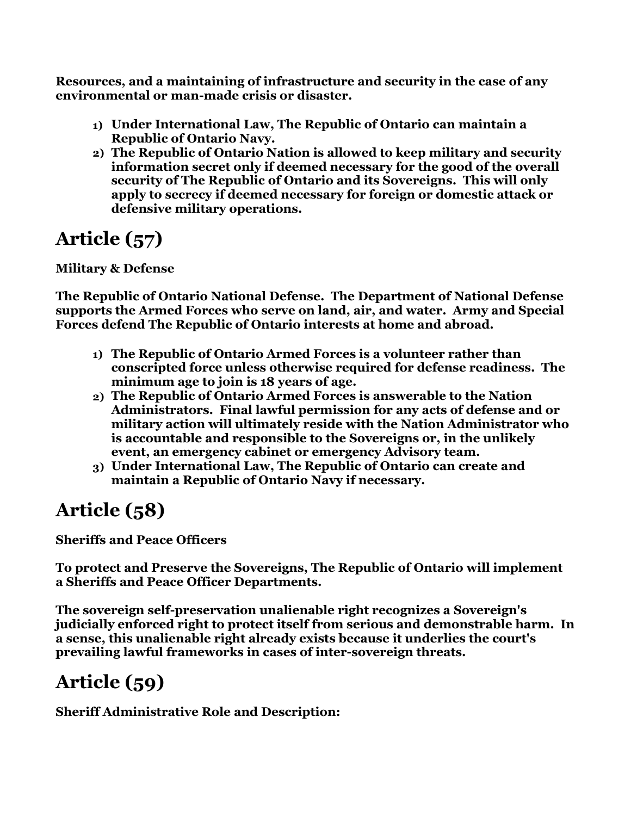**Resources, and a maintaining of infrastructure and security in the case of any environmental or man-made crisis or disaster.**

- **1) Under International Law, The Republic of Ontario can maintain a Republic of Ontario Navy.**
- **2) The Republic of Ontario Nation is allowed to keep military and security information secret only if deemed necessary for the good of the overall security of The Republic of Ontario and its Sovereigns. This will only apply to secrecy if deemed necessary for foreign or domestic attack or defensive military operations.**

# **Article (57)**

#### **Military & Defense**

**The Republic of Ontario National Defense. The Department of National Defense supports the Armed Forces who serve on land, air, and water. Army and Special Forces defend The Republic of Ontario interests at home and abroad.**

- **1) The Republic of Ontario Armed Forces is a volunteer rather than conscripted force unless otherwise required for defense readiness. The minimum age to join is 18 years of age.**
- **2) The Republic of Ontario Armed Forces is answerable to the Nation Administrators. Final lawful permission for any acts of defense and or military action will ultimately reside with the Nation Administrator who is accountable and responsible to the Sovereigns or, in the unlikely event, an emergency cabinet or emergency Advisory team.**
- **3) Under International Law, The Republic of Ontario can create and maintain a Republic of Ontario Navy if necessary.**

## **Article (58)**

**Sheriffs and Peace Officers**

**To protect and Preserve the Sovereigns, The Republic of Ontario will implement a Sheriffs and Peace Officer Departments.**

 **The sovereign self-preservation unalienable right recognizes a Sovereign's judicially enforced right to protect itself from serious and demonstrable harm. In a sense, this unalienable right already exists because it underlies the court's prevailing lawful frameworks in cases of inter-sovereign threats.**

# **Article (59)**

**Sheriff Administrative Role and Description:**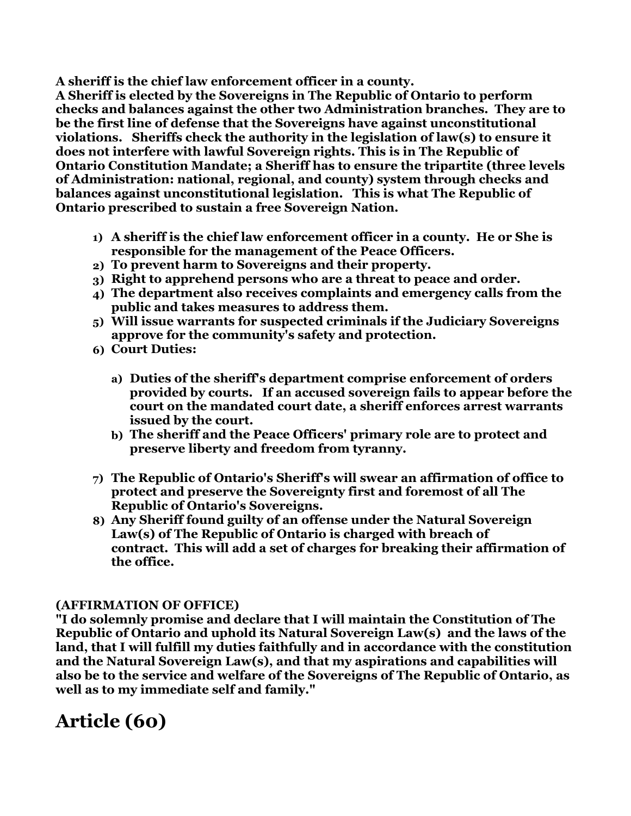**A sheriff is the chief law enforcement officer in a county.**

**A Sheriff is elected by the Sovereigns in The Republic of Ontario to perform checks and balances against the other two Administration branches. They are to be the first line of defense that the Sovereigns have against unconstitutional violations. Sheriffs check the authority in the legislation of law(s) to ensure it does not interfere with lawful Sovereign rights. This is in The Republic of Ontario Constitution Mandate; a Sheriff has to ensure the tripartite (three levels of Administration: national, regional, and county) system through checks and balances against unconstitutional legislation. This is what The Republic of Ontario prescribed to sustain a free Sovereign Nation.**

- **1) A sheriff is the chief law enforcement officer in a county. He or She is responsible for the management of the Peace Officers.**
- **2) To prevent harm to Sovereigns and their property.**
- **3) Right to apprehend persons who are a threat to peace and order.**
- **4) The department also receives complaints and emergency calls from the public and takes measures to address them.**
- **5) Will issue warrants for suspected criminals if the Judiciary Sovereigns approve for the community's safety and protection.**
- **6) Court Duties:**
	- **a) Duties of the sheriff's department comprise enforcement of orders provided by courts. If an accused sovereign fails to appear before the court on the mandated court date, a sheriff enforces arrest warrants issued by the court.**
	- **b) The sheriff and the Peace Officers' primary role are to protect and preserve liberty and freedom from tyranny.**
- **7) The Republic of Ontario's Sheriff's will swear an affirmation of office to protect and preserve the Sovereignty first and foremost of all The Republic of Ontario's Sovereigns.**
- **8) Any Sheriff found guilty of an offense under the Natural Sovereign Law(s) of The Republic of Ontario is charged with breach of contract. This will add a set of charges for breaking their affirmation of the office.**

#### **(AFFIRMATION OF OFFICE)**

**"I do solemnly promise and declare that I will maintain the Constitution of The Republic of Ontario and uphold its Natural Sovereign Law(s) and the laws of the land, that I will fulfill my duties faithfully and in accordance with the constitution and the Natural Sovereign Law(s), and that my aspirations and capabilities will also be to the service and welfare of the Sovereigns of The Republic of Ontario, as well as to my immediate self and family."**

#### **Article (60)**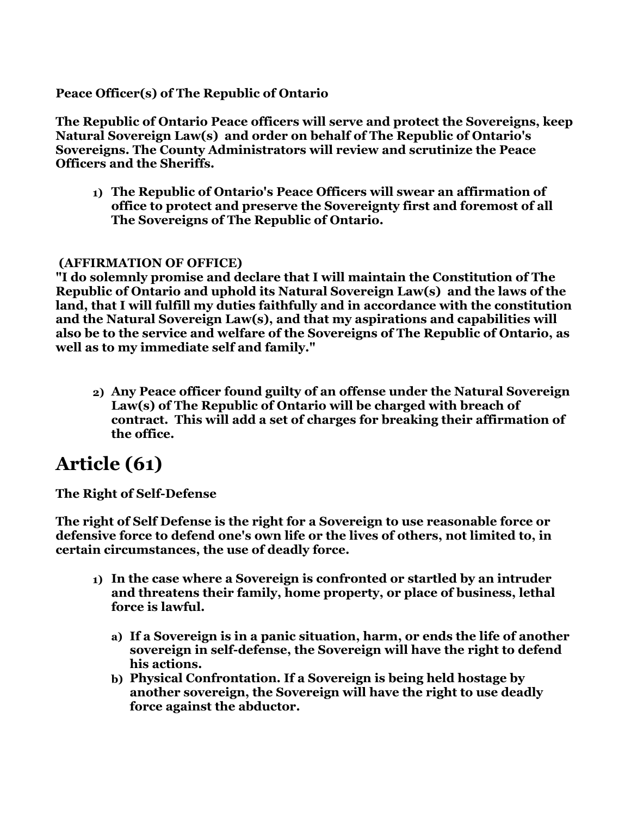#### **Peace Officer(s) of The Republic of Ontario**

**The Republic of Ontario Peace officers will serve and protect the Sovereigns, keep Natural Sovereign Law(s) and order on behalf of The Republic of Ontario's Sovereigns. The County Administrators will review and scrutinize the Peace Officers and the Sheriffs.**

**1) The Republic of Ontario's Peace Officers will swear an affirmation of office to protect and preserve the Sovereignty first and foremost of all The Sovereigns of The Republic of Ontario.**

#### **(AFFIRMATION OF OFFICE)**

**"I do solemnly promise and declare that I will maintain the Constitution of The Republic of Ontario and uphold its Natural Sovereign Law(s) and the laws of the land, that I will fulfill my duties faithfully and in accordance with the constitution and the Natural Sovereign Law(s), and that my aspirations and capabilities will also be to the service and welfare of the Sovereigns of The Republic of Ontario, as well as to my immediate self and family."**

**2) Any Peace officer found guilty of an offense under the Natural Sovereign Law(s) of The Republic of Ontario will be charged with breach of contract. This will add a set of charges for breaking their affirmation of the office.**

#### **Article (61)**

**The Right of Self-Defense** 

**The right of Self Defense is the right for a Sovereign to use reasonable force or defensive force to defend one's own life or the lives of others, not limited to, in certain circumstances, the use of deadly force.**

- **1) In the case where a Sovereign is confronted or startled by an intruder and threatens their family, home property, or place of business, lethal force is lawful.**
	- **a) If a Sovereign is in a panic situation, harm, or ends the life of another sovereign in self-defense, the Sovereign will have the right to defend his actions.**
	- **b) Physical Confrontation. If a Sovereign is being held hostage by another sovereign, the Sovereign will have the right to use deadly force against the abductor.**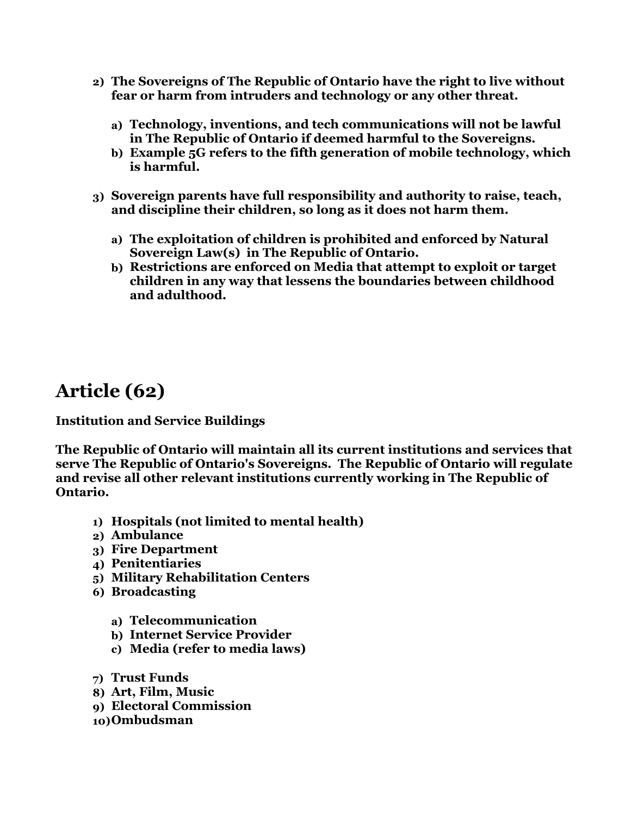- **2) The Sovereigns of The Republic of Ontario have the right to live without fear or harm from intruders and technology or any other threat.**
	- **a) Technology, inventions, and tech communications will not be lawful in The Republic of Ontario if deemed harmful to the Sovereigns.**
	- **b) Example 5G refers to the fifth generation of mobile technology, which is harmful.**
- **3) Sovereign parents have full responsibility and authority to raise, teach, and discipline their children, so long as it does not harm them.**
	- **a) The exploitation of children is prohibited and enforced by Natural Sovereign Law(s) in The Republic of Ontario.**
	- **b) Restrictions are enforced on Media that attempt to exploit or target children in any way that lessens the boundaries between childhood and adulthood.**

#### **Article (62)**

**Institution and Service Buildings**

**The Republic of Ontario will maintain all its current institutions and services that serve The Republic of Ontario's Sovereigns. The Republic of Ontario will regulate and revise all other relevant institutions currently working in The Republic of Ontario.**

- **1) Hospitals (not limited to mental health)**
- **2) Ambulance**
- **3) Fire Department**
- **4) Penitentiaries**
- **5) Military Rehabilitation Centers**
- **6) Broadcasting**
	- **a) Telecommunication**
	- **b) Internet Service Provider**
	- **c) Media (refer to media laws)**
- **7) Trust Funds**
- **8) Art, Film, Music**
- **9) Electoral Commission**
- **10)Ombudsman**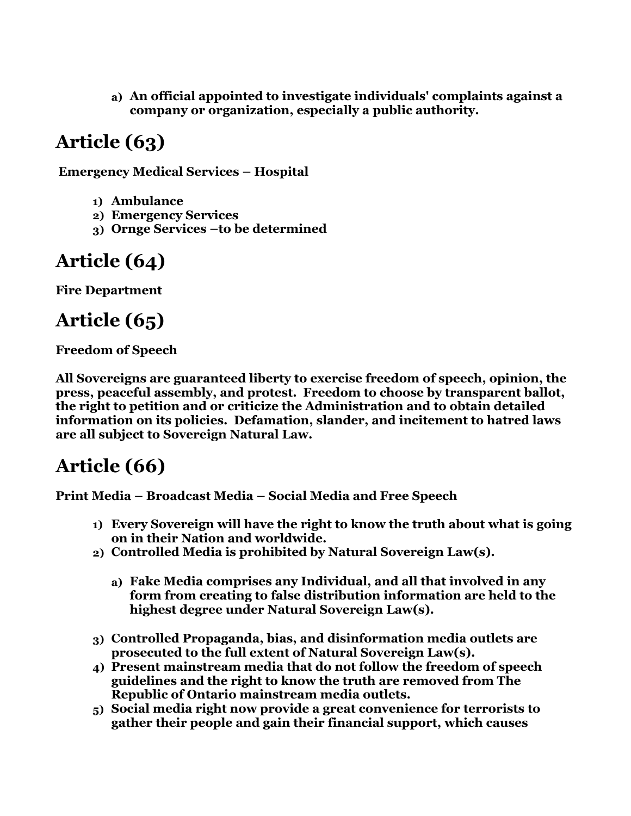**a) An official appointed to investigate individuals' complaints against a company or organization, especially a public authority.**

## **Article (63)**

**Emergency Medical Services – Hospital** 

- **1) Ambulance**
- **2) Emergency Services**
- **3) Ornge Services –to be determined**

#### **Article (64)**

**Fire Department** 

#### **Article (65)**

#### **Freedom of Speech**

**All Sovereigns are guaranteed liberty to exercise freedom of speech, opinion, the press, peaceful assembly, and protest. Freedom to choose by transparent ballot, the right to petition and or criticize the Administration and to obtain detailed information on its policies. Defamation, slander, and incitement to hatred laws are all subject to Sovereign Natural Law.**

#### **Article (66)**

**Print Media – Broadcast Media – Social Media and Free Speech** 

- **1) Every Sovereign will have the right to know the truth about what is going on in their Nation and worldwide.**
- **2) Controlled Media is prohibited by Natural Sovereign Law(s).**
	- **a) Fake Media comprises any Individual, and all that involved in any form from creating to false distribution information are held to the highest degree under Natural Sovereign Law(s).**
- **3) Controlled Propaganda, bias, and disinformation media outlets are prosecuted to the full extent of Natural Sovereign Law(s).**
- **4) Present mainstream media that do not follow the freedom of speech guidelines and the right to know the truth are removed from The Republic of Ontario mainstream media outlets.**
- **5) Social media right now provide a great convenience for terrorists to gather their people and gain their financial support, which causes**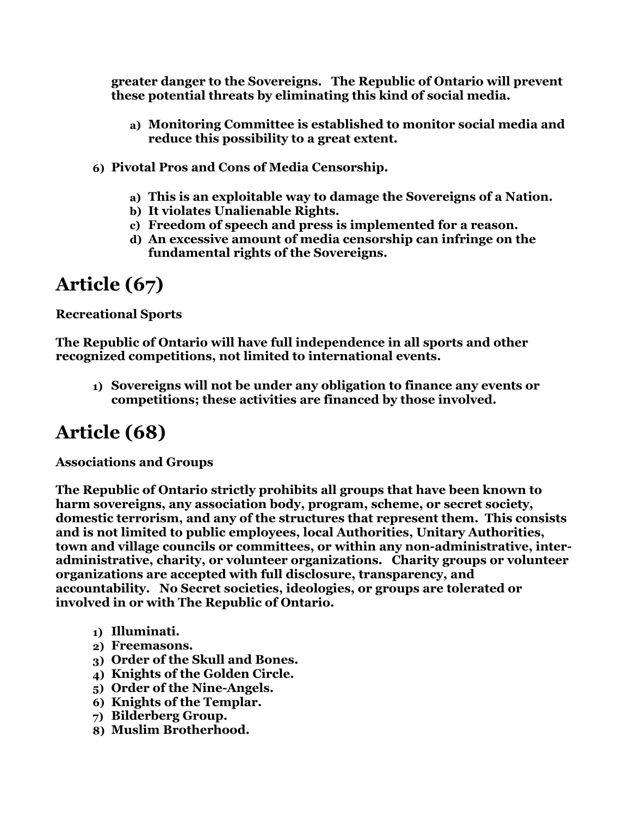**greater danger to the Sovereigns. The Republic of Ontario will prevent these potential threats by eliminating this kind of social media.**

- **a) Monitoring Committee is established to monitor social media and reduce this possibility to a great extent.**
- **6) Pivotal Pros and Cons of Media Censorship.**
	- **a) This is an exploitable way to damage the Sovereigns of a Nation.**
	- **b) It violates Unalienable Rights.**
	- **c) Freedom of speech and press is implemented for a reason.**
	- **d) An excessive amount of media censorship can infringe on the fundamental rights of the Sovereigns.**

#### **Article (67)**

**Recreational Sports** 

**The Republic of Ontario will have full independence in all sports and other recognized competitions, not limited to international events.**

**1) Sovereigns will not be under any obligation to finance any events or competitions; these activities are financed by those involved.**

## **Article (68)**

**Associations and Groups**

**The Republic of Ontario strictly prohibits all groups that have been known to harm sovereigns, any association body, program, scheme, or secret society, domestic terrorism, and any of the structures that represent them. This consists and is not limited to public employees, local Authorities, Unitary Authorities, town and village councils or committees, or within any non-administrative, interadministrative, charity, or volunteer organizations. Charity groups or volunteer organizations are accepted with full disclosure, transparency, and accountability. No Secret societies, ideologies, or groups are tolerated or involved in or with The Republic of Ontario.**

- **1) Illuminati.**
- **2) Freemasons.**
- **3) Order of the Skull and Bones.**
- **4) Knights of the Golden Circle.**
- **5) Order of the Nine-Angels.**
- **6) Knights of the Templar.**
- **7) Bilderberg Group.**
- **8) Muslim Brotherhood.**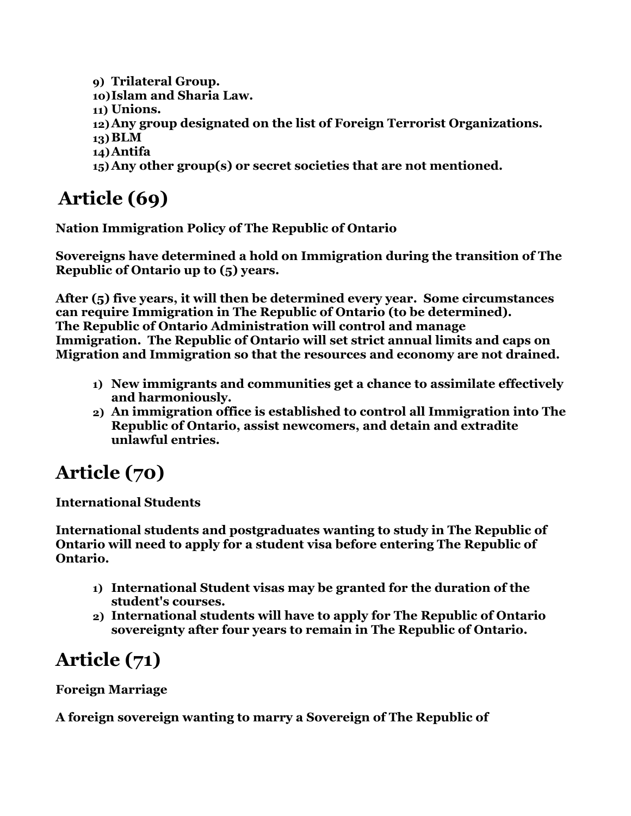**9) Trilateral Group.**

- **10)Islam and Sharia Law.**
- **11) Unions.**
- **12)Any group designated on the list of Foreign Terrorist Organizations.**
- **13)BLM**
- **14)Antifa**
- **15) Any other group(s) or secret societies that are not mentioned.**

# **Article (69)**

**Nation Immigration Policy of The Republic of Ontario**

**Sovereigns have determined a hold on Immigration during the transition of The Republic of Ontario up to (5) years.**

**After (5) five years, it will then be determined every year. Some circumstances can require Immigration in The Republic of Ontario (to be determined). The Republic of Ontario Administration will control and manage Immigration. The Republic of Ontario will set strict annual limits and caps on Migration and Immigration so that the resources and economy are not drained.**

- **1) New immigrants and communities get a chance to assimilate effectively and harmoniously.**
- **2) An immigration office is established to control all Immigration into The Republic of Ontario, assist newcomers, and detain and extradite unlawful entries.**

# **Article (70)**

#### **International Students**

**International students and postgraduates wanting to study in The Republic of Ontario will need to apply for a student visa before entering The Republic of Ontario.**

- **1) International Student visas may be granted for the duration of the student's courses.**
- **2) International students will have to apply for The Republic of Ontario sovereignty after four years to remain in The Republic of Ontario.**

# **Article (71)**

#### **Foreign Marriage**

**A foreign sovereign wanting to marry a Sovereign of The Republic of**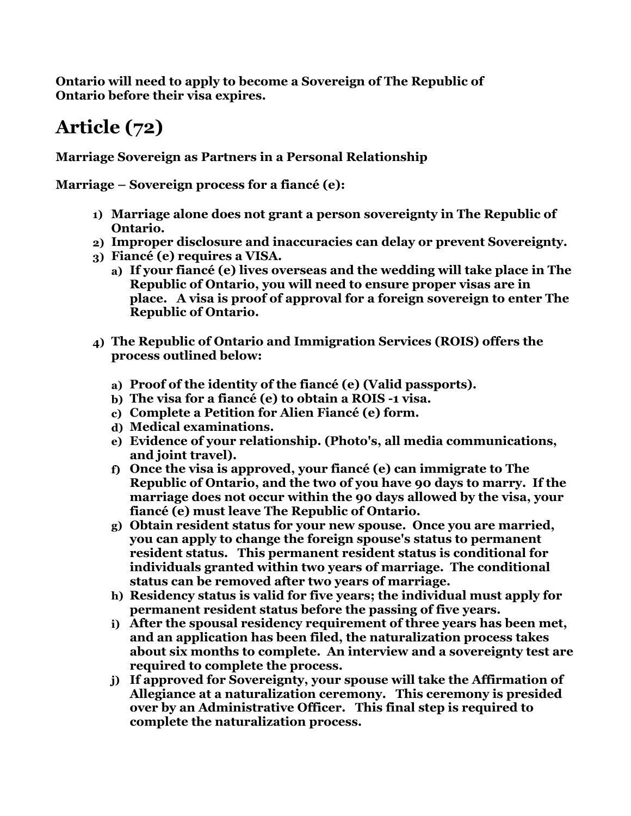**Ontario will need to apply to become a Sovereign of The Republic of Ontario before their visa expires.**

## **Article (72)**

**Marriage Sovereign as Partners in a Personal Relationship**

**Marriage – Sovereign process for a fiancé (e):** 

- **1) Marriage alone does not grant a person sovereignty in The Republic of Ontario.**
- **2) Improper disclosure and inaccuracies can delay or prevent Sovereignty.**
- **3) Fiancé (e) requires a VISA.**
	- **a) If your fiancé (e) lives overseas and the wedding will take place in The Republic of Ontario, you will need to ensure proper visas are in place. A visa is proof of approval for a foreign sovereign to enter The Republic of Ontario.**
- **4) The Republic of Ontario and Immigration Services (ROIS) offers the process outlined below:**
	- **a) Proof of the identity of the fiancé (e) (Valid passports).**
	- **b) The visa for a fiancé (e) to obtain a ROIS -1 visa.**
	- **c) Complete a Petition for Alien Fiancé (e) form.**
	- **d) Medical examinations.**
	- **e) Evidence of your relationship. (Photo's, all media communications, and joint travel).**
	- **f) Once the visa is approved, your fiancé (e) can immigrate to The Republic of Ontario, and the two of you have 90 days to marry. If the marriage does not occur within the 90 days allowed by the visa, your fiancé (e) must leave The Republic of Ontario.**
	- **g) Obtain resident status for your new spouse. Once you are married, you can apply to change the foreign spouse's status to permanent resident status. This permanent resident status is conditional for individuals granted within two years of marriage. The conditional status can be removed after two years of marriage.**
	- **h) Residency status is valid for five years; the individual must apply for permanent resident status before the passing of five years.**
	- **i) After the spousal residency requirement of three years has been met, and an application has been filed, the naturalization process takes about six months to complete. An interview and a sovereignty test are required to complete the process.**
	- **j) If approved for Sovereignty, your spouse will take the Affirmation of Allegiance at a naturalization ceremony. This ceremony is presided over by an Administrative Officer. This final step is required to complete the naturalization process.**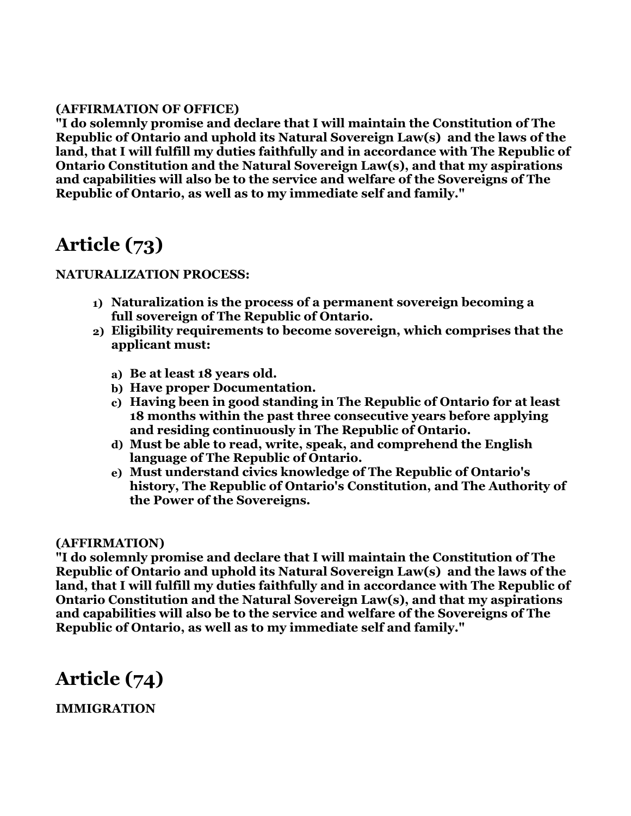#### **(AFFIRMATION OF OFFICE)**

**"I do solemnly promise and declare that I will maintain the Constitution of The Republic of Ontario and uphold its Natural Sovereign Law(s) and the laws of the land, that I will fulfill my duties faithfully and in accordance with The Republic of Ontario Constitution and the Natural Sovereign Law(s), and that my aspirations and capabilities will also be to the service and welfare of the Sovereigns of The Republic of Ontario, as well as to my immediate self and family."**

#### **Article (73)**

#### **NATURALIZATION PROCESS:**

- **1) Naturalization is the process of a permanent sovereign becoming a full sovereign of The Republic of Ontario.**
- **2) Eligibility requirements to become sovereign, which comprises that the applicant must:**
	- **a) Be at least 18 years old.**
	- **b) Have proper Documentation.**
	- **c) Having been in good standing in The Republic of Ontario for at least 18 months within the past three consecutive years before applying and residing continuously in The Republic of Ontario.**
	- **d) Must be able to read, write, speak, and comprehend the English language of The Republic of Ontario.**
	- **e) Must understand civics knowledge of The Republic of Ontario's history, The Republic of Ontario's Constitution, and The Authority of the Power of the Sovereigns.**

#### **(AFFIRMATION)**

**"I do solemnly promise and declare that I will maintain the Constitution of The Republic of Ontario and uphold its Natural Sovereign Law(s) and the laws of the land, that I will fulfill my duties faithfully and in accordance with The Republic of Ontario Constitution and the Natural Sovereign Law(s), and that my aspirations and capabilities will also be to the service and welfare of the Sovereigns of The Republic of Ontario, as well as to my immediate self and family."**

#### **Article (74)**

**IMMIGRATION**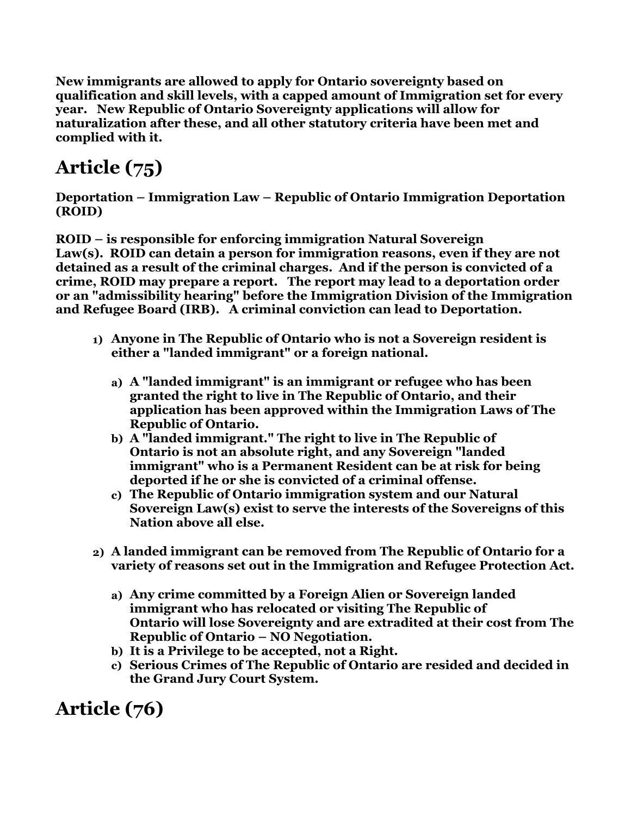**New immigrants are allowed to apply for Ontario sovereignty based on qualification and skill levels, with a capped amount of Immigration set for every year. New Republic of Ontario Sovereignty applications will allow for naturalization after these, and all other statutory criteria have been met and complied with it.**

## **Article (75)**

**Deportation – Immigration Law – Republic of Ontario Immigration Deportation (ROID)**

**ROID – is responsible for enforcing immigration Natural Sovereign Law(s). ROID can detain a person for immigration reasons, even if they are not detained as a result of the criminal charges. And if the person is convicted of a crime, ROID may prepare a report. The report may lead to a deportation order or an "admissibility hearing" before the Immigration Division of the Immigration and Refugee Board (IRB). A criminal conviction can lead to Deportation.**

- **1) Anyone in The Republic of Ontario who is not a Sovereign resident is either a "landed immigrant" or a foreign national.**
	- **a) A "landed immigrant" is an immigrant or refugee who has been granted the right to live in The Republic of Ontario, and their application has been approved within the Immigration Laws of The Republic of Ontario.**
	- **b) A "landed immigrant." The right to live in The Republic of Ontario is not an absolute right, and any Sovereign "landed immigrant" who is a Permanent Resident can be at risk for being deported if he or she is convicted of a criminal offense.**
	- **c) The Republic of Ontario immigration system and our Natural Sovereign Law(s) exist to serve the interests of the Sovereigns of this Nation above all else.**
- **2) A landed immigrant can be removed from The Republic of Ontario for a variety of reasons set out in the Immigration and Refugee Protection Act.**
	- **a) Any crime committed by a Foreign Alien or Sovereign landed immigrant who has relocated or visiting The Republic of Ontario will lose Sovereignty and are extradited at their cost from The Republic of Ontario – NO Negotiation.**
	- **b) It is a Privilege to be accepted, not a Right.**
	- **c) Serious Crimes of The Republic of Ontario are resided and decided in the Grand Jury Court System.**

**Article (76)**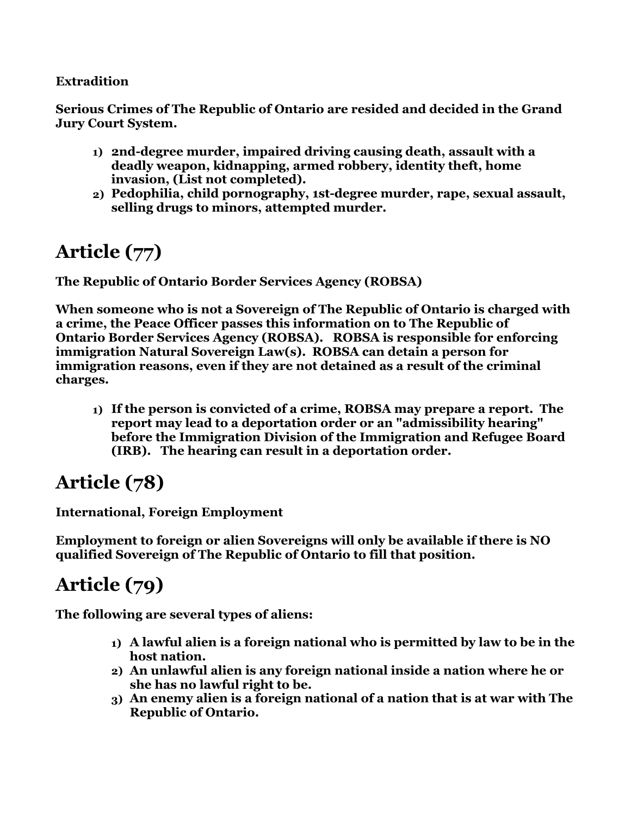#### **Extradition**

 **Serious Crimes of The Republic of Ontario are resided and decided in the Grand Jury Court System.**

- **1) 2nd-degree murder, impaired driving causing death, assault with a deadly weapon, kidnapping, armed robbery, identity theft, home invasion, (List not completed).**
- **2) Pedophilia, child pornography, 1st-degree murder, rape, sexual assault, selling drugs to minors, attempted murder.**

## **Article (77)**

**The Republic of Ontario Border Services Agency (ROBSA)**

**When someone who is not a Sovereign of The Republic of Ontario is charged with a crime, the Peace Officer passes this information on to The Republic of Ontario Border Services Agency (ROBSA). ROBSA is responsible for enforcing immigration Natural Sovereign Law(s). ROBSA can detain a person for immigration reasons, even if they are not detained as a result of the criminal charges.**

**1) If the person is convicted of a crime, ROBSA may prepare a report. The report may lead to a deportation order or an "admissibility hearing" before the Immigration Division of the Immigration and Refugee Board (IRB). The hearing can result in a deportation order.**

## **Article (78)**

**International, Foreign Employment** 

**Employment to foreign or alien Sovereigns will only be available if there is NO qualified Sovereign of The Republic of Ontario to fill that position.**

### **Article (79)**

**The following are several types of aliens:**

- **1) A lawful alien is a foreign national who is permitted by law to be in the host nation.**
- **2) An unlawful alien is any foreign national inside a nation where he or she has no lawful right to be.**
- **3) An enemy alien is a foreign national of a nation that is at war with The Republic of Ontario.**